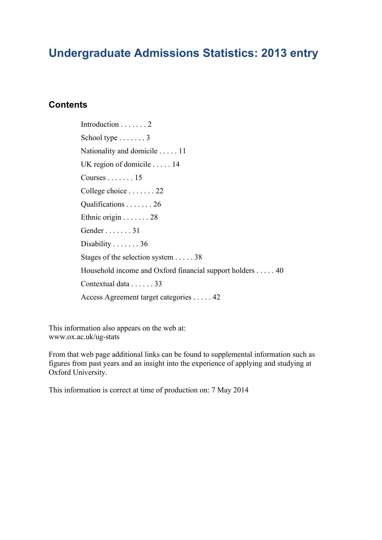## **Undergraduate Admissions Statistics: 2013 entry**

### **Contents**

Introduction . . . . . . . 2 School type . . . . . . . 3 Nationality and domicile . . . . . 11 UK region of domicile . . . . . 14 Courses . . . . . . . 15 College choice . . . . . . . 22 Qualifications . . . . . . . 26 Ethnic origin . . . . . . . 28 Gender . . . . . . . 31 Disability . . . . . . . 36 Stages of the selection system . . . . . 38 Household income and Oxford financial support holders . . . . . 40 Contextual data . . . . . . 33 Access Agreement target categories . . . . . 42

This information also appears on the web at: www.ox.ac.uk/ug-stats

From that web page additional links can be found to supplemental information such as figures from past years and an insight into the experience of applying and studying at Oxford University.

This information is correct at time of production on: 7 May 2014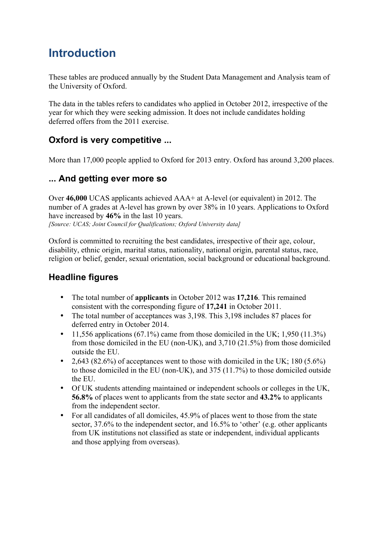## **Introduction**

These tables are produced annually by the Student Data Management and Analysis team of the University of Oxford.

The data in the tables refers to candidates who applied in October 2012, irrespective of the year for which they were seeking admission. It does not include candidates holding deferred offers from the 2011 exercise.

## **Oxford is very competitive ...**

More than 17,000 people applied to Oxford for 2013 entry. Oxford has around 3,200 places.

## **... And getting ever more so**

Over **46,000** UCAS applicants achieved AAA+ at A-level (or equivalent) in 2012. The number of A grades at A-level has grown by over 38% in 10 years. Applications to Oxford have increased by **46%** in the last 10 years. *[Source: UCAS; Joint Council for Qualifications; Oxford University data]*

Oxford is committed to recruiting the best candidates, irrespective of their age, colour, disability, ethnic origin, marital status, nationality, national origin, parental status, race, religion or belief, gender, sexual orientation, social background or educational background.

## **Headline figures**

- The total number of **applicants** in October 2012 was **17,216**. This remained consistent with the corresponding figure of **17,241** in October 2011.
- The total number of acceptances was 3,198. This 3,198 includes 87 places for deferred entry in October 2014.
- 11,556 applications  $(67.1\%)$  came from those domiciled in the UK; 1,950  $(11.3\%)$ from those domiciled in the EU (non-UK), and 3,710 (21.5%) from those domiciled outside the EU.
- 2,643 (82.6%) of acceptances went to those with domiciled in the UK;  $180 (5.6\%)$ to those domiciled in the EU (non-UK), and 375 (11.7%) to those domiciled outside the EU.
- Of UK students attending maintained or independent schools or colleges in the UK, **56.8%** of places went to applicants from the state sector and **43.2%** to applicants from the independent sector.
- For all candidates of all domiciles, 45.9% of places went to those from the state sector, 37.6% to the independent sector, and 16.5% to 'other' (e.g. other applicants from UK institutions not classified as state or independent, individual applicants and those applying from overseas).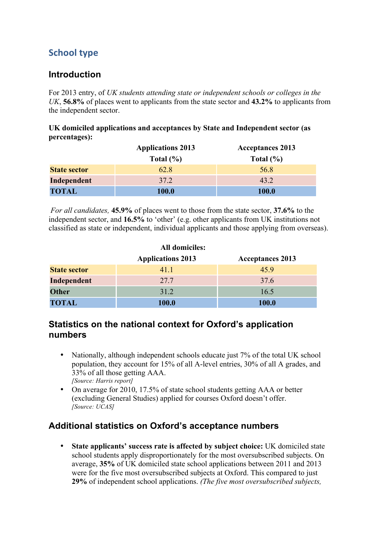## **School type**

### **Introduction**

For 2013 entry, of *UK students attending state or independent schools or colleges in the UK*, **56.8%** of places went to applicants from the state sector and **43.2%** to applicants from the independent sector.

**UK domiciled applications and acceptances by State and Independent sector (as percentages):**

|                     | <b>Applications 2013</b> | <b>Acceptances 2013</b> |
|---------------------|--------------------------|-------------------------|
|                     | Total $(\% )$            | Total $(\% )$           |
| <b>State sector</b> | 62.8                     | 56.8                    |
| Independent         | 37.2                     | 43.2                    |
| <b>TOTAL</b>        | 100.0                    | 100.0                   |

*For all candidates,* **45.9%** of places went to those from the state sector, **37.6%** to the independent sector, and **16.5%** to 'other' (e.g. other applicants from UK institutions not classified as state or independent, individual applicants and those applying from overseas).

| <b>All domiciles:</b> |                          |                         |  |  |  |  |  |  |  |
|-----------------------|--------------------------|-------------------------|--|--|--|--|--|--|--|
|                       | <b>Applications 2013</b> | <b>Acceptances 2013</b> |  |  |  |  |  |  |  |
| <b>State sector</b>   | 41.1                     | 45.9                    |  |  |  |  |  |  |  |
| Independent           | 27.7                     | 37.6                    |  |  |  |  |  |  |  |
| <b>Other</b>          | 31.2                     | 16.5                    |  |  |  |  |  |  |  |
| <b>TOTAL</b>          | 100.0                    | 100.0                   |  |  |  |  |  |  |  |

### **Statistics on the national context for Oxford's application numbers**

- Nationally, although independent schools educate just 7% of the total UK school population, they account for 15% of all A-level entries, 30% of all A grades, and 33% of all those getting AAA. *[Source: Harris report]*
- On average for 2010, 17.5% of state school students getting AAA or better (excluding General Studies) applied for courses Oxford doesn't offer. *[Source: UCAS]*

## **Additional statistics on Oxford's acceptance numbers**

• **State applicants' success rate is affected by subject choice:** UK domiciled state school students apply disproportionately for the most oversubscribed subjects. On average, **35%** of UK domiciled state school applications between 2011 and 2013 were for the five most oversubscribed subjects at Oxford. This compared to just **29%** of independent school applications. *(The five most oversubscribed subjects,*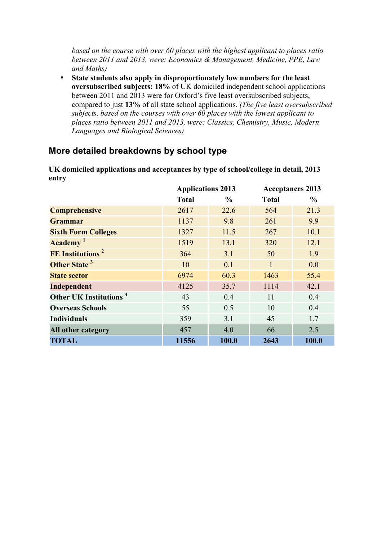*based on the course with over 60 places with the highest applicant to places ratio between 2011 and 2013, were: Economics & Management, Medicine, PPE, Law and Maths)*

• **State students also apply in disproportionately low numbers for the least oversubscribed subjects: 18%** of UK domiciled independent school applications between 2011 and 2013 were for Oxford's five least oversubscribed subjects, compared to just **13%** of all state school applications. *(The five least oversubscribed subjects, based on the courses with over 60 places with the lowest applicant to places ratio between 2011 and 2013, were: Classics, Chemistry, Music, Modern Languages and Biological Sciences)* 

### **More detailed breakdowns by school type**

**UK domiciled applications and acceptances by type of school/college in detail, 2013 entry**

|                                    | <b>Applications 2013</b> |               | <b>Acceptances 2013</b> |               |  |
|------------------------------------|--------------------------|---------------|-------------------------|---------------|--|
|                                    | <b>Total</b>             | $\frac{6}{9}$ | <b>Total</b>            | $\frac{6}{9}$ |  |
| <b>Comprehensive</b>               | 2617                     | 22.6          | 564                     | 21.3          |  |
| <b>Grammar</b>                     | 1137                     | 9.8           | 261                     | 9.9           |  |
| <b>Sixth Form Colleges</b>         | 1327                     | 11.5          | 267                     | 10.1          |  |
| Academy <sup>1</sup>               | 1519                     | 13.1          | 320                     | 12.1          |  |
| FE Institutions <sup>2</sup>       | 364                      | 3.1           | 50                      | 1.9           |  |
| Other State <sup>3</sup>           | 10                       | 0.1           | $\mathbf{1}$            | 0.0           |  |
| <b>State sector</b>                | 6974                     | 60.3          | 1463                    | 55.4          |  |
| Independent                        | 4125                     | 35.7          | 1114                    | 42.1          |  |
| Other UK Institutions <sup>4</sup> | 43                       | 0.4           | 11                      | 0.4           |  |
| <b>Overseas Schools</b>            | 55                       | 0.5           | 10                      | 0.4           |  |
| <b>Individuals</b>                 | 359                      | 3.1           | 45                      | 1.7           |  |
| All other category                 | 457                      | 4.0           | 66                      | 2.5           |  |
| <b>TOTAL</b>                       | 11556                    | 100.0         | 2643                    | 100.0         |  |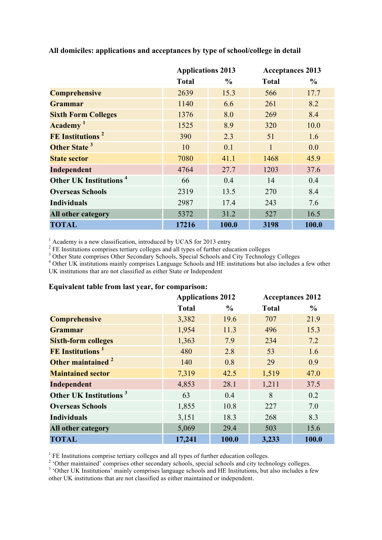|                                    | <b>Applications 2013</b> |               |              | <b>Acceptances 2013</b> |
|------------------------------------|--------------------------|---------------|--------------|-------------------------|
|                                    | <b>Total</b>             | $\frac{6}{9}$ | <b>Total</b> | $\frac{6}{9}$           |
| <b>Comprehensive</b>               | 2639                     | 15.3          | 566          | 17.7                    |
| <b>Grammar</b>                     | 1140                     | 6.6           | 261          | 8.2                     |
| <b>Sixth Form Colleges</b>         | 1376                     | 8.0           | 269          | 8.4                     |
| Academy <sup>1</sup>               | 1525                     | 8.9           | 320          | 10.0                    |
| FE Institutions <sup>2</sup>       | 390                      | 2.3           | 51           | 1.6                     |
| Other State <sup>3</sup>           | 10                       | 0.1           | $\mathbf{1}$ | 0.0                     |
| <b>State sector</b>                | 7080                     | 41.1          | 1468         | 45.9                    |
| Independent                        | 4764                     | 27.7          | 1203         | 37.6                    |
| Other UK Institutions <sup>4</sup> | 66                       | 0.4           | 14           | 0.4                     |
| <b>Overseas Schools</b>            | 2319                     | 13.5          | 270          | 8.4                     |
| <b>Individuals</b>                 | 2987                     | 17.4          | 243          | 7.6                     |
| All other category                 | 5372                     | 31.2          | 527          | 16.5                    |
| <b>TOTAL</b>                       | 17216                    | 100.0         | 3198         | 100.0                   |

**All domiciles: applications and acceptances by type of school/college in detail**

<sup>1</sup> Academy is a new classification, introduced by UCAS for 2013 entry

<sup>2</sup> FE Institutions comprises tertiary colleges and all types of further education colleges

<sup>3</sup> Other State comprises Other Secondary Schools, Special Schools and City Technology Colleges

<sup>4</sup> Other UK institutions mainly comprises Language Schools and HE institutions but also includes a few other UK institutions that are not classified as either State or Independent

#### **Equivalent table from last year, for comparison:**

|                                     | <b>Applications 2012</b> |               | <b>Acceptances 2012</b> |               |
|-------------------------------------|--------------------------|---------------|-------------------------|---------------|
|                                     | <b>Total</b>             | $\frac{0}{0}$ | <b>Total</b>            | $\frac{6}{9}$ |
| <b>Comprehensive</b>                | 3,382                    | 19.6          | 707                     | 21.9          |
| <b>Grammar</b>                      | 1,954                    | 11.3          | 496                     | 15.3          |
| <b>Sixth-form colleges</b>          | 1,363                    | 7.9           | 234                     | 7.2           |
| <b>FE</b> Institutions <sup>1</sup> | 480                      | 2.8           | 53                      | 1.6           |
| Other maintained <sup>2</sup>       | 140                      | 0.8           | 29                      | 0.9           |
| <b>Maintained sector</b>            | 7,319                    | 42.5          | 1,519                   | 47.0          |
| Independent                         | 4,853                    | 28.1          | 1,211                   | 37.5          |
| Other UK Institutions <sup>3</sup>  | 63                       | 0.4           | 8                       | 0.2           |
| <b>Overseas Schools</b>             | 1,855                    | 10.8          | 227                     | 7.0           |
| <b>Individuals</b>                  | 3,151                    | 18.3          | 268                     | 8.3           |
| All other category                  | 5,069                    | 29.4          | 503                     | 15.6          |
| <b>TOTAL</b>                        | 17,241                   | 100.0         | 3,233                   | 100.0         |

 $<sup>1</sup>$  FE Institutions comprise tertiary colleges and all types of further education colleges.</sup>

<sup>2</sup> 'Other maintained' comprises other secondary schools, special schools and city technology colleges.

<sup>3</sup> 'Other UK Institutions' mainly comprises language schools and HE Institutions, but also includes a few other UK institutions that are not classified as either maintained or independent.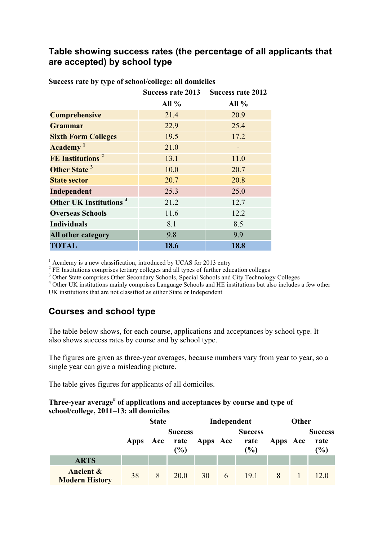### **Table showing success rates (the percentage of all applicants that are accepted) by school type**

|                                    | Success rate 2013 | <b>Success rate 2012</b> |
|------------------------------------|-------------------|--------------------------|
|                                    | All $%$           | All $%$                  |
| <b>Comprehensive</b>               | 21.4              | 20.9                     |
| <b>Grammar</b>                     | 22.9              | 25.4                     |
| <b>Sixth Form Colleges</b>         | 19.5              | 17.2                     |
| Academy <sup>1</sup>               | 21.0              |                          |
| FE Institutions <sup>2</sup>       | 13.1              | 11.0                     |
| Other State <sup>3</sup>           | 10.0              | 20.7                     |
| <b>State sector</b>                | 20.7              | 20.8                     |
| Independent                        | 25.3              | 25.0                     |
| Other UK Institutions <sup>4</sup> | 21.2              | 12.7                     |
| <b>Overseas Schools</b>            | 11.6              | 12.2                     |
| <b>Individuals</b>                 | 8.1               | 8.5                      |
| All other category                 | 9.8               | 9.9                      |
| <b>TOTAL</b>                       | 18.6              | 18.8                     |

**Success rate by type of school/college: all domiciles**

 $1$  Academy is a new classification, introduced by UCAS for 2013 entry

 $2$  FE Institutions comprises tertiary colleges and all types of further education colleges

<sup>3</sup> Other State comprises Other Secondary Schools, Special Schools and City Technology Colleges

<sup>4</sup> Other UK institutions mainly comprises Language Schools and HE institutions but also includes a few other

UK institutions that are not classified as either State or Independent

## **Courses and school type**

The table below shows, for each course, applications and acceptances by school type. It also shows success rates by course and by school type.

The figures are given as three-year averages, because numbers vary from year to year, so a single year can give a misleading picture.

The table gives figures for applicants of all domiciles.

#### **Three-year average# of applications and acceptances by course and type of school/college, 2011–13: all domiciles**

|                                               |      | <b>State</b> |                               |              | Independent |                               |          | Other |                                  |
|-----------------------------------------------|------|--------------|-------------------------------|--------------|-------------|-------------------------------|----------|-------|----------------------------------|
|                                               | Apps | Acc          | <b>Success</b><br>rate<br>(%) | Apps Acc     |             | <b>Success</b><br>rate<br>(%) | Apps Acc |       | <b>Success</b><br>rate<br>$(\%)$ |
| <b>ARTS</b>                                   |      |              |                               |              |             |                               |          |       |                                  |
| <b>Ancient &amp;</b><br><b>Modern History</b> | 38   | 8            | 20.0                          | $30 \quad 6$ |             | 19.1                          |          |       | 12.0                             |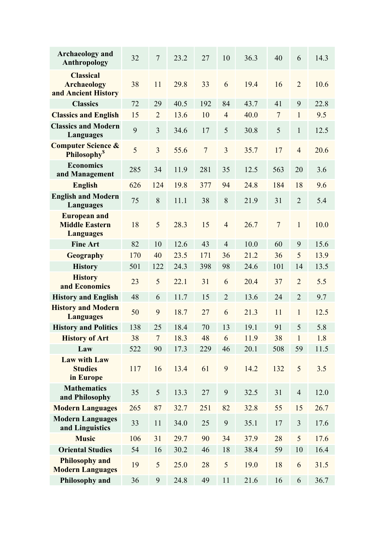| <b>Archaeology and</b><br>Anthropology                           | 32  | $\overline{7}$ | 23.2 | 27             | 10             | 36.3 | 40             | 6              | 14.3 |
|------------------------------------------------------------------|-----|----------------|------|----------------|----------------|------|----------------|----------------|------|
| <b>Classical</b><br><b>Archaeology</b><br>and Ancient History    | 38  | 11             | 29.8 | 33             | 6              | 19.4 | 16             | $\overline{2}$ | 10.6 |
| <b>Classics</b>                                                  | 72  | 29             | 40.5 | 192            | 84             | 43.7 | 41             | 9              | 22.8 |
| <b>Classics and English</b>                                      | 15  | $\overline{2}$ | 13.6 | 10             | $\overline{4}$ | 40.0 | $\overline{7}$ | $\mathbf{1}$   | 9.5  |
| <b>Classics and Modern</b><br>Languages                          | 9   | 3              | 34.6 | 17             | 5              | 30.8 | 5              | $\mathbf{1}$   | 12.5 |
| <b>Computer Science &amp;</b><br><b>Philosophy</b> <sup>\$</sup> | 5   | $\overline{3}$ | 55.6 | $\overline{7}$ | 3              | 35.7 | 17             | $\overline{4}$ | 20.6 |
| <b>Economics</b><br>and Management                               | 285 | 34             | 11.9 | 281            | 35             | 12.5 | 563            | 20             | 3.6  |
| <b>English</b>                                                   | 626 | 124            | 19.8 | 377            | 94             | 24.8 | 184            | 18             | 9.6  |
| <b>English and Modern</b><br><b>Languages</b>                    | 75  | 8              | 11.1 | 38             | 8              | 21.9 | 31             | $\overline{2}$ | 5.4  |
| <b>European and</b><br><b>Middle Eastern</b><br><b>Languages</b> | 18  | 5              | 28.3 | 15             | $\overline{4}$ | 26.7 | $\overline{7}$ | $\mathbf{1}$   | 10.0 |
| <b>Fine Art</b>                                                  | 82  | 10             | 12.6 | 43             | $\overline{4}$ | 10.0 | 60             | 9              | 15.6 |
| <b>Geography</b>                                                 | 170 | 40             | 23.5 | 171            | 36             | 21.2 | 36             | 5              | 13.9 |
| <b>History</b>                                                   | 501 | 122            | 24.3 | 398            | 98             | 24.6 | 101            | 14             | 13.5 |
| <b>History</b><br>and Economics                                  | 23  | 5              | 22.1 | 31             | 6              | 20.4 | 37             | $\overline{2}$ | 5.5  |
| <b>History and English</b>                                       | 48  | 6              | 11.7 | 15             | $\overline{2}$ | 13.6 | 24             | $\overline{2}$ | 9.7  |
| <b>History and Modern</b><br><b>Languages</b>                    | 50  | 9              | 18.7 | 27             | 6              | 21.3 | 11             | $\mathbf{1}$   | 12.5 |
| <b>History and Politics</b>                                      | 138 | 25             | 18.4 | 70             | 13             | 19.1 | 91             | 5              | 5.8  |
| <b>History of Art</b>                                            | 38  | $\overline{7}$ | 18.3 | 48             | 6              | 11.9 | 38             | $\mathbf{1}$   | 1.8  |
| Law                                                              | 522 | 90             | 17.3 | 229            | 46             | 20.1 | 508            | 59             | 11.5 |
| <b>Law with Law</b><br><b>Studies</b><br>in Europe               | 117 | 16             | 13.4 | 61             | 9              | 14.2 | 132            | 5              | 3.5  |
| <b>Mathematics</b><br>and Philosophy                             | 35  | 5              | 13.3 | 27             | 9              | 32.5 | 31             | $\overline{4}$ | 12.0 |
| <b>Modern Languages</b>                                          | 265 | 87             | 32.7 | 251            | 82             | 32.8 | 55             | 15             | 26.7 |
| <b>Modern Languages</b><br>and Linguistics                       | 33  | 11             | 34.0 | 25             | 9              | 35.1 | 17             | 3              | 17.6 |
| <b>Music</b>                                                     | 106 | 31             | 29.7 | 90             | 34             | 37.9 | 28             | 5              | 17.6 |
| <b>Oriental Studies</b>                                          | 54  | 16             | 30.2 | 46             | 18             | 38.4 | 59             | 10             | 16.4 |
| <b>Philosophy and</b><br><b>Modern Languages</b>                 | 19  | 5              | 25.0 | 28             | 5              | 19.0 | 18             | 6              | 31.5 |
| Philosophy and                                                   | 36  | 9              | 24.8 | 49             | 11             | 21.6 | 16             | 6              | 36.7 |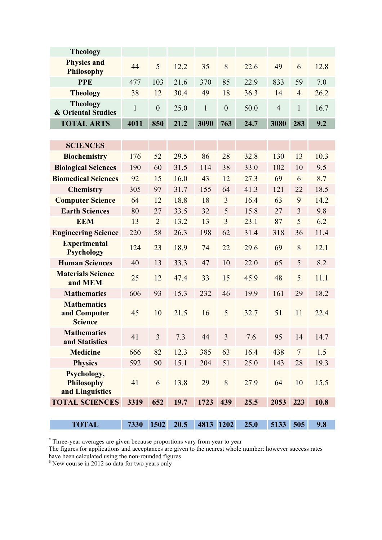| <b>Theology</b>                                      |              |                  |      |              |                |      |                |                |      |
|------------------------------------------------------|--------------|------------------|------|--------------|----------------|------|----------------|----------------|------|
| <b>Physics and</b><br><b>Philosophy</b>              | 44           | 5                | 12.2 | 35           | 8              | 22.6 | 49             | 6              | 12.8 |
| <b>PPE</b>                                           | 477          | 103              | 21.6 | 370          | 85             | 22.9 | 833            | 59             | 7.0  |
| <b>Theology</b>                                      | 38           | 12               | 30.4 | 49           | 18             | 36.3 | 14             | $\overline{4}$ | 26.2 |
| <b>Theology</b><br><b>&amp; Oriental Studies</b>     | $\mathbf{1}$ | $\boldsymbol{0}$ | 25.0 | $\mathbf{1}$ | $\mathbf{0}$   | 50.0 | $\overline{4}$ | $\mathbf{1}$   | 16.7 |
| <b>TOTAL ARTS</b>                                    | 4011         | 850              | 21.2 | 3090         | 763            | 24.7 | 3080           | 283            | 9.2  |
|                                                      |              |                  |      |              |                |      |                |                |      |
| <b>SCIENCES</b>                                      |              |                  |      |              |                |      |                |                |      |
| <b>Biochemistry</b>                                  | 176          | 52               | 29.5 | 86           | 28             | 32.8 | 130            | 13             | 10.3 |
| <b>Biological Sciences</b>                           | 190          | 60               | 31.5 | 114          | 38             | 33.0 | 102            | 10             | 9.5  |
| <b>Biomedical Sciences</b>                           | 92           | 15               | 16.0 | 43           | 12             | 27.3 | 69             | 6              | 8.7  |
| <b>Chemistry</b>                                     | 305          | 97               | 31.7 | 155          | 64             | 41.3 | 121            | 22             | 18.5 |
| <b>Computer Science</b>                              | 64           | 12               | 18.8 | 18           | 3              | 16.4 | 63             | 9              | 14.2 |
| <b>Earth Sciences</b>                                | 80           | 27               | 33.5 | 32           | 5              | 15.8 | 27             | 3              | 9.8  |
| <b>EEM</b>                                           | 13           | $\overline{2}$   | 13.2 | 13           | 3              | 23.1 | 87             | 5              | 6.2  |
| <b>Engineering Science</b>                           | 220          | 58               | 26.3 | 198          | 62             | 31.4 | 318            | 36             | 11.4 |
| <b>Experimental</b><br><b>Psychology</b>             | 124          | 23               | 18.9 | 74           | 22             | 29.6 | 69             | 8              | 12.1 |
| <b>Human Sciences</b>                                | 40           | 13               | 33.3 | 47           | 10             | 22.0 | 65             | 5              | 8.2  |
| <b>Materials Science</b><br>and MEM                  | 25           | 12               | 47.4 | 33           | 15             | 45.9 | 48             | 5              | 11.1 |
| <b>Mathematics</b>                                   | 606          | 93               | 15.3 | 232          | 46             | 19.9 | 161            | 29             | 18.2 |
| <b>Mathematics</b><br>and Computer<br><b>Science</b> | 45           | 10               | 21.5 | 16           | 5              | 32.7 | 51             | 11             | 22.4 |
| <b>Mathematics</b><br>and Statistics                 | 41           | 3                | 7.3  | 44           | $\overline{3}$ | 7.6  | 95             | 14             | 14.7 |
| <b>Medicine</b>                                      | 666          | 82               | 12.3 | 385          | 63             | 16.4 | 438            | $\overline{7}$ | 1.5  |
| <b>Physics</b>                                       | 592          | 90               | 15.1 | 204          | 51             | 25.0 | 143            | 28             | 19.3 |
| Psychology,<br><b>Philosophy</b><br>and Linguistics  | 41           | 6                | 13.8 | 29           | 8              | 27.9 | 64             | 10             | 15.5 |
| <b>TOTAL SCIENCES</b>                                | 3319         | 652              | 19.7 | 1723         | 439            | 25.5 | 2053           | 223            | 10.8 |
|                                                      |              |                  |      |              |                |      |                |                |      |
| <b>TOTAL</b>                                         | 7330         | 1502             | 20.5 | 4813 1202    |                | 25.0 | 5133 505       |                | 9.8  |

# Three-year averages are given because proportions vary from year to year

The figures for applications and acceptances are given to the nearest whole number: however success rates have been calculated using the non-rounded figures

<sup>\$</sup> New course in 2012 so data for two years only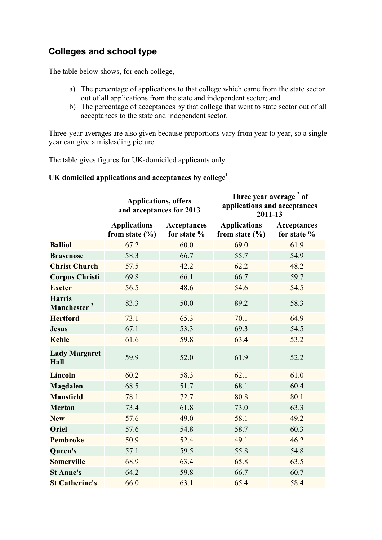## **Colleges and school type**

The table below shows, for each college,

- a) The percentage of applications to that college which came from the state sector out of all applications from the state and independent sector; and
- b) The percentage of acceptances by that college that went to state sector out of all acceptances to the state and independent sector.

Three-year averages are also given because proportions vary from year to year, so a single year can give a misleading picture.

The table gives figures for UK-domiciled applicants only.

#### **UK domiciled applications and acceptances by college1**

|                                          | <b>Applications, offers</b><br>and acceptances for 2013 |                                   | Three year average <sup>2</sup> of<br>applications and acceptances<br>2011-13 |                                   |  |  |
|------------------------------------------|---------------------------------------------------------|-----------------------------------|-------------------------------------------------------------------------------|-----------------------------------|--|--|
|                                          | <b>Applications</b><br>from state $(\% )$               | <b>Acceptances</b><br>for state % | <b>Applications</b><br>from state $(\% )$                                     | <b>Acceptances</b><br>for state % |  |  |
| <b>Balliol</b>                           | 67.2                                                    | 60.0                              | 69.0                                                                          | 61.9                              |  |  |
| <b>Brasenose</b>                         | 58.3                                                    | 66.7                              | 55.7                                                                          | 54.9                              |  |  |
| <b>Christ Church</b>                     | 57.5                                                    | 42.2                              | 62.2                                                                          | 48.2                              |  |  |
| <b>Corpus Christi</b>                    | 69.8                                                    | 66.1                              | 66.7                                                                          | 59.7                              |  |  |
| <b>Exeter</b>                            | 56.5                                                    | 48.6                              | 54.6                                                                          | 54.5                              |  |  |
| <b>Harris</b><br>Manchester <sup>3</sup> | 83.3                                                    | 50.0                              | 89.2                                                                          | 58.3                              |  |  |
| <b>Hertford</b>                          | 73.1                                                    | 65.3                              | 70.1                                                                          | 64.9                              |  |  |
| <b>Jesus</b>                             | 67.1                                                    | 53.3                              | 69.3                                                                          | 54.5                              |  |  |
| <b>Keble</b>                             | 61.6                                                    | 59.8                              | 63.4                                                                          | 53.2                              |  |  |
| <b>Lady Margaret</b><br><b>Hall</b>      | 59.9                                                    | 52.0                              | 61.9                                                                          | 52.2                              |  |  |
| <b>Lincoln</b>                           | 60.2                                                    | 58.3                              | 62.1                                                                          | 61.0                              |  |  |
| <b>Magdalen</b>                          | 68.5                                                    | 51.7                              | 68.1                                                                          | 60.4                              |  |  |
| <b>Mansfield</b>                         | 78.1                                                    | 72.7                              | 80.8                                                                          | 80.1                              |  |  |
| <b>Merton</b>                            | 73.4                                                    | 61.8                              | 73.0                                                                          | 63.3                              |  |  |
| <b>New</b>                               | 57.6                                                    | 49.0                              | 58.1                                                                          | 49.2                              |  |  |
| <b>Oriel</b>                             | 57.6                                                    | 54.8                              | 58.7                                                                          | 60.3                              |  |  |
| <b>Pembroke</b>                          | 50.9                                                    | 52.4                              | 49.1                                                                          | 46.2                              |  |  |
| Queen's                                  | 57.1                                                    | 59.5                              | 55.8                                                                          | 54.8                              |  |  |
| <b>Somerville</b>                        | 68.9                                                    | 63.4                              | 65.8                                                                          | 63.5                              |  |  |
| <b>St Anne's</b>                         | 64.2                                                    | 59.8                              | 66.7                                                                          | 60.7                              |  |  |
| <b>St Catherine's</b>                    | 66.0                                                    | 63.1                              | 65.4                                                                          | 58.4                              |  |  |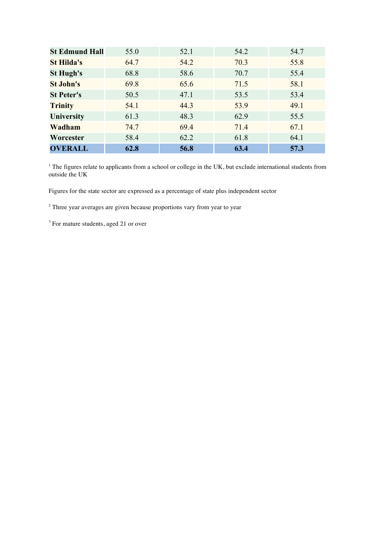| <b>St Edmund Hall</b> | 55.0 | 52.1 | 54.2 | 54.7 |
|-----------------------|------|------|------|------|
| <b>St Hilda's</b>     | 64.7 | 54.2 | 70.3 | 55.8 |
| <b>St Hugh's</b>      | 68.8 | 58.6 | 70.7 | 55.4 |
| <b>St John's</b>      | 69.8 | 65.6 | 71.5 | 58.1 |
| <b>St Peter's</b>     | 50.5 | 47.1 | 53.5 | 53.4 |
| <b>Trinity</b>        | 54.1 | 44.3 | 53.9 | 49.1 |
| <b>University</b>     | 61.3 | 48.3 | 62.9 | 55.5 |
| Wadham                | 74.7 | 69.4 | 71.4 | 67.1 |
| Worcester             | 58.4 | 62.2 | 61.8 | 64.1 |
| <b>OVERALL</b>        | 62.8 | 56.8 | 63.4 | 57.3 |

 $1$  The figures relate to applicants from a school or college in the UK, but exclude international students from outside the UK

Figures for the state sector are expressed as a percentage of state plus independent sector

<sup>2</sup> Three year averages are given because proportions vary from year to year

<sup>3</sup> For mature students, aged 21 or over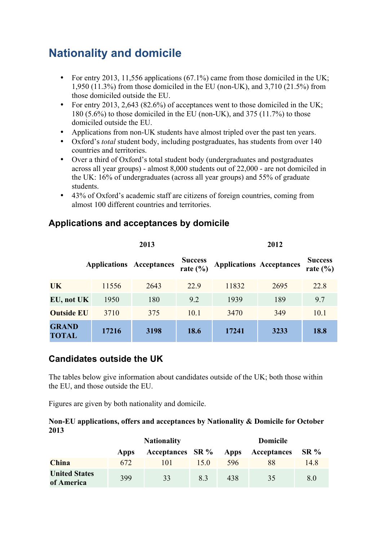## **Nationality and domicile**

- For entry 2013, 11,556 applications (67.1%) came from those domiciled in the UK; 1,950 (11.3%) from those domiciled in the EU (non-UK), and 3,710 (21.5%) from those domiciled outside the EU.
- For entry 2013, 2,643 (82.6%) of acceptances went to those domiciled in the UK; 180 (5.6%) to those domiciled in the EU (non-UK), and 375 (11.7%) to those domiciled outside the EU.
- Applications from non-UK students have almost tripled over the past ten years.
- Oxford's *total* student body, including postgraduates, has students from over 140 countries and territories.
- Over a third of Oxford's total student body (undergraduates and postgraduates across all year groups) - almost 8,000 students out of 22,000 - are not domiciled in the UK: 16% of undergraduates (across all year groups) and 55% of graduate students.
- 43% of Oxford's academic staff are citizens of foreign countries, coming from almost 100 different countries and territories.

|                              |                                 | 2013 | 2012                           |                                 |      |                                |  |
|------------------------------|---------------------------------|------|--------------------------------|---------------------------------|------|--------------------------------|--|
|                              | <b>Applications Acceptances</b> |      | <b>Success</b><br>rate $(\% )$ | <b>Applications Acceptances</b> |      | <b>Success</b><br>rate $(\% )$ |  |
| <b>UK</b>                    | 11556                           | 2643 | 22.9                           | 11832                           | 2695 | 22.8                           |  |
| EU, not UK                   | 1950                            | 180  | 9.2                            | 1939                            | 189  | 9.7                            |  |
| <b>Outside EU</b>            | 3710                            | 375  | 10.1                           | 3470                            | 349  | 10.1                           |  |
| <b>GRAND</b><br><b>TOTAL</b> | 17216                           | 3198 | 18.6                           | 17241                           | 3233 | 18.8                           |  |

### **Applications and acceptances by domicile**

## **Candidates outside the UK**

The tables below give information about candidates outside of the UK; both those within the EU, and those outside the EU.

Figures are given by both nationality and domicile.

#### **Non-EU applications, offers and acceptances by Nationality & Domicile for October 2013**

|                                    | <b>Nationality</b> |                  |     | Domicile |             |        |
|------------------------------------|--------------------|------------------|-----|----------|-------------|--------|
|                                    | Apps               | Acceptances SR % |     | Apps     | Acceptances | $SR\%$ |
| <b>China</b>                       | 672                | 101              | 150 | 596      | 88          | 14.8   |
| <b>United States</b><br>of America | 399                | 33               | 8.3 | 438      | 35          | 8.0    |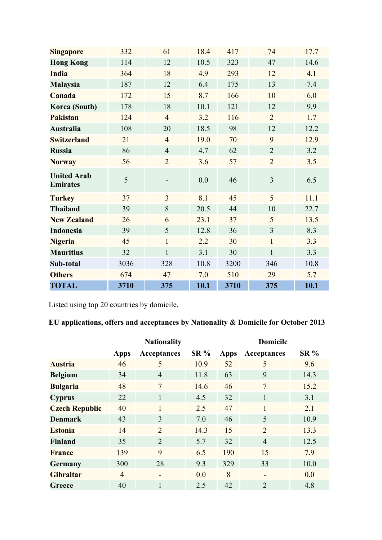| <b>Singapore</b>                      | 332  | 61             | 18.4 | 417  | 74             | 17.7 |
|---------------------------------------|------|----------------|------|------|----------------|------|
| <b>Hong Kong</b>                      | 114  | 12             | 10.5 | 323  | 47             | 14.6 |
| <b>India</b>                          | 364  | 18             | 4.9  | 293  | 12             | 4.1  |
| <b>Malaysia</b>                       | 187  | 12             | 6.4  | 175  | 13             | 7.4  |
| Canada                                | 172  | 15             | 8.7  | 166  | 10             | 6.0  |
| Korea (South)                         | 178  | 18             | 10.1 | 121  | 12             | 9.9  |
| <b>Pakistan</b>                       | 124  | $\overline{4}$ | 3.2  | 116  | $\overline{2}$ | 1.7  |
| <b>Australia</b>                      | 108  | 20             | 18.5 | 98   | 12             | 12.2 |
| <b>Switzerland</b>                    | 21   | $\overline{4}$ | 19.0 | 70   | 9              | 12.9 |
| <b>Russia</b>                         | 86   | $\overline{4}$ | 4.7  | 62   | $\overline{2}$ | 3.2  |
| <b>Norway</b>                         | 56   | $\overline{2}$ | 3.6  | 57   | $\overline{2}$ | 3.5  |
| <b>United Arab</b><br><b>Emirates</b> | 5    |                | 0.0  | 46   | 3              | 6.5  |
| <b>Turkey</b>                         | 37   | 3              | 8.1  | 45   | 5              | 11.1 |
| <b>Thailand</b>                       | 39   | 8              | 20.5 | 44   | 10             | 22.7 |
| <b>New Zealand</b>                    | 26   | 6              | 23.1 | 37   | 5              | 13.5 |
| <b>Indonesia</b>                      | 39   | 5              | 12.8 | 36   | 3              | 8.3  |
| <b>Nigeria</b>                        | 45   | $\mathbf{1}$   | 2.2  | 30   | $\mathbf{1}$   | 3.3  |
| <b>Mauritius</b>                      | 32   | $\mathbf{1}$   | 3.1  | 30   | $\mathbf{1}$   | 3.3  |
| Sub-total                             | 3036 | 328            | 10.8 | 3200 | 346            | 10.8 |
| <b>Others</b>                         | 674  | 47             | 7.0  | 510  | 29             | 5.7  |
| <b>TOTAL</b>                          | 3710 | 375            | 10.1 | 3710 | 375            | 10.1 |

Listed using top 20 countries by domicile.

## **EU applications, offers and acceptances by Nationality & Domicile for October 2013**

|                       | <b>Nationality</b> |                |        | <b>Domicile</b> |                |        |  |
|-----------------------|--------------------|----------------|--------|-----------------|----------------|--------|--|
|                       | Apps               | Acceptances    | $SR\%$ | Apps            | Acceptances    | $SR\%$ |  |
| <b>Austria</b>        | 46                 | 5              | 10.9   | 52              | 5              | 9.6    |  |
| <b>Belgium</b>        | 34                 | $\overline{4}$ | 11.8   | 63              | 9              | 14.3   |  |
| <b>Bulgaria</b>       | 48                 | $\overline{7}$ | 14.6   | 46              | $\overline{7}$ | 15.2   |  |
| <b>Cyprus</b>         | 22                 | 1              | 4.5    | 32              | $\mathbf{1}$   | 3.1    |  |
| <b>Czech Republic</b> | 40                 | $\mathbf{1}$   | 2.5    | 47              | $\mathbf{1}$   | 2.1    |  |
| <b>Denmark</b>        | 43                 | 3              | 7.0    | 46              | 5              | 10.9   |  |
| <b>Estonia</b>        | 14                 | $\overline{2}$ | 14.3   | 15              | $\overline{2}$ | 13.3   |  |
| <b>Finland</b>        | 35                 | $\overline{2}$ | 5.7    | 32              | $\overline{4}$ | 12.5   |  |
| <b>France</b>         | 139                | 9              | 6.5    | 190             | 15             | 7.9    |  |
| <b>Germany</b>        | 300                | 28             | 9.3    | 329             | 33             | 10.0   |  |
| <b>Gibraltar</b>      | $\overline{4}$     |                | 0.0    | 8               |                | 0.0    |  |
| Greece                | 40                 | 1              | 2.5    | 42              | $\overline{2}$ | 4.8    |  |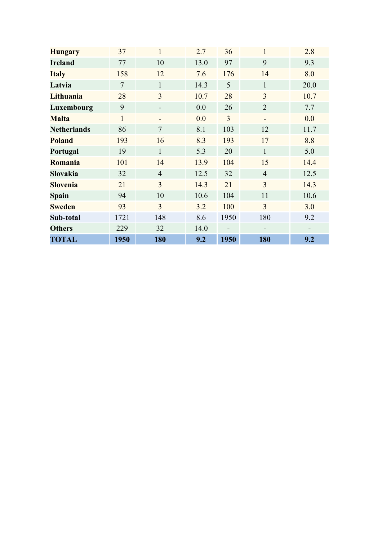| <b>Hungary</b>     | 37           | $\mathbf{1}$   | 2.7  | 36             | $\mathbf{1}$                 | 2.8  |
|--------------------|--------------|----------------|------|----------------|------------------------------|------|
| <b>Ireland</b>     | 77           | 10             | 13.0 | 97             | 9                            | 9.3  |
| <b>Italy</b>       | 158          | 12             | 7.6  | 176            | 14                           | 8.0  |
| Latvia             | $\tau$       | $\mathbf{1}$   | 14.3 | 5              | $\mathbf{1}$                 | 20.0 |
| Lithuania          | 28           | $\overline{3}$ | 10.7 | 28             | 3                            | 10.7 |
| Luxembourg         | 9            |                | 0.0  | 26             | $\overline{2}$               | 7.7  |
| <b>Malta</b>       | $\mathbf{1}$ |                | 0.0  | $\overline{3}$ | $\qquad \qquad \blacksquare$ | 0.0  |
| <b>Netherlands</b> | 86           | $\tau$         | 8.1  | 103            | 12                           | 11.7 |
| <b>Poland</b>      | 193          | 16             | 8.3  | 193            | 17                           | 8.8  |
| Portugal           | 19           | $\mathbf{1}$   | 5.3  | 20             | $\mathbf{1}$                 | 5.0  |
| Romania            | 101          | 14             | 13.9 | 104            | 15                           | 14.4 |
| <b>Slovakia</b>    | 32           | $\overline{4}$ | 12.5 | 32             | $\overline{4}$               | 12.5 |
| <b>Slovenia</b>    | 21           | $\overline{3}$ | 14.3 | 21             | $\overline{3}$               | 14.3 |
| <b>Spain</b>       | 94           | 10             | 10.6 | 104            | 11                           | 10.6 |
| <b>Sweden</b>      | 93           | $\overline{3}$ | 3.2  | 100            | $\overline{3}$               | 3.0  |
| Sub-total          | 1721         | 148            | 8.6  | 1950           | 180                          | 9.2  |
| <b>Others</b>      | 229          | 32             | 14.0 |                |                              |      |
| <b>TOTAL</b>       | 1950         | 180            | 9.2  | 1950           | 180                          | 9.2  |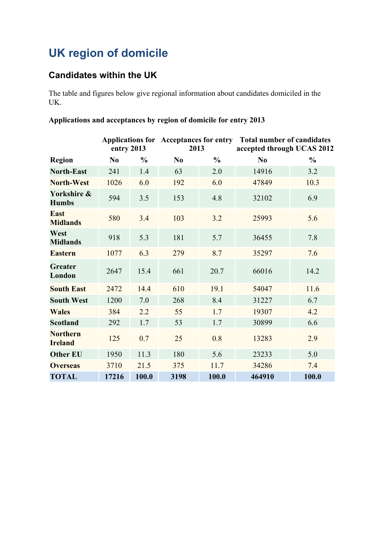# **UK region of domicile**

## **Candidates within the UK**

The table and figures below give regional information about candidates domiciled in the UK.

#### **Applications and acceptances by region of domicile for entry 2013**

|                                   | entry 2013     |               | 2013           |               | Applications for Acceptances for entry Total number of candidates<br>accepted through UCAS 2012 |               |
|-----------------------------------|----------------|---------------|----------------|---------------|-------------------------------------------------------------------------------------------------|---------------|
| <b>Region</b>                     | N <sub>0</sub> | $\frac{0}{0}$ | N <sub>0</sub> | $\frac{0}{0}$ | N <sub>0</sub>                                                                                  | $\frac{0}{0}$ |
| <b>North-East</b>                 | 241            | 1.4           | 63             | 2.0           | 14916                                                                                           | 3.2           |
| <b>North-West</b>                 | 1026           | 6.0           | 192            | 6.0           | 47849                                                                                           | 10.3          |
| Yorkshire &<br><b>Humbs</b>       | 594            | 3.5           | 153            | 4.8           | 32102                                                                                           | 6.9           |
| <b>East</b><br><b>Midlands</b>    | 580            | 3.4           | 103            | 3.2           | 25993                                                                                           | 5.6           |
| West<br><b>Midlands</b>           | 918            | 5.3           | 181            | 5.7           | 36455                                                                                           | 7.8           |
| <b>Eastern</b>                    | 1077           | 6.3           | 279            | 8.7           | 35297                                                                                           | 7.6           |
| <b>Greater</b><br>London          | 2647           | 15.4          | 661            | 20.7          | 66016                                                                                           | 14.2          |
| <b>South East</b>                 | 2472           | 14.4          | 610            | 19.1          | 54047                                                                                           | 11.6          |
| <b>South West</b>                 | 1200           | 7.0           | 268            | 8.4           | 31227                                                                                           | 6.7           |
| <b>Wales</b>                      | 384            | 2.2           | 55             | 1.7           | 19307                                                                                           | 4.2           |
| <b>Scotland</b>                   | 292            | 1.7           | 53             | 1.7           | 30899                                                                                           | 6.6           |
| <b>Northern</b><br><b>Ireland</b> | 125            | 0.7           | 25             | 0.8           | 13283                                                                                           | 2.9           |
| <b>Other EU</b>                   | 1950           | 11.3          | 180            | 5.6           | 23233                                                                                           | 5.0           |
| <b>Overseas</b>                   | 3710           | 21.5          | 375            | 11.7          | 34286                                                                                           | 7.4           |
| <b>TOTAL</b>                      | 17216          | 100.0         | 3198           | 100.0         | 464910                                                                                          | 100.0         |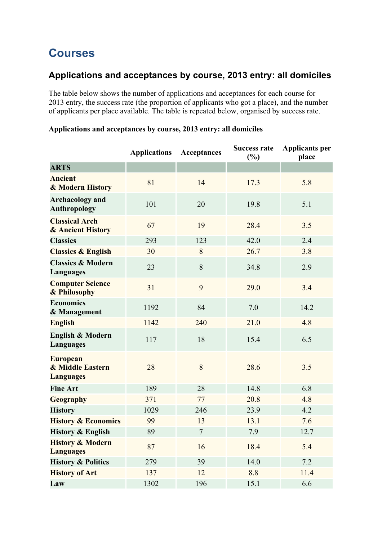## **Courses**

## **Applications and acceptances by course, 2013 entry: all domiciles**

The table below shows the number of applications and acceptances for each course for 2013 entry, the success rate (the proportion of applicants who got a place), and the number of applicants per place available. The table is repeated below, organised by success rate.

|                                                         | <b>Applications</b> | Acceptances | <b>Success rate</b><br>(%) | <b>Applicants per</b><br>place |
|---------------------------------------------------------|---------------------|-------------|----------------------------|--------------------------------|
| <b>ARTS</b>                                             |                     |             |                            |                                |
| <b>Ancient</b><br>& Modern History                      | 81                  | 14          | 17.3                       | 5.8                            |
| <b>Archaeology</b> and<br><b>Anthropology</b>           | 101                 | 20          | 19.8                       | 5.1                            |
| <b>Classical Arch</b><br>& Ancient History              | 67                  | 19          | 28.4                       | 3.5                            |
| <b>Classics</b>                                         | 293                 | 123         | 42.0                       | 2.4                            |
| <b>Classics &amp; English</b>                           | 30                  | 8           | 26.7                       | 3.8                            |
| <b>Classics &amp; Modern</b><br>Languages               | 23                  | 8           | 34.8                       | 2.9                            |
| <b>Computer Science</b><br>& Philosophy                 | 31                  | 9           | 29.0                       | 3.4                            |
| <b>Economics</b><br>& Management                        | 1192                | 84          | 7.0                        | 14.2                           |
| <b>English</b>                                          | 1142                | 240         | 21.0                       | 4.8                            |
| <b>English &amp; Modern</b><br>Languages                | 117                 | 18          | 15.4                       | 6.5                            |
| <b>European</b><br>& Middle Eastern<br><b>Languages</b> | 28                  | 8           | 28.6                       | 3.5                            |
| <b>Fine Art</b>                                         | 189                 | 28          | 14.8                       | 6.8                            |
| <b>Geography</b>                                        | 371                 | 77          | 20.8                       | 4.8                            |
| <b>History</b>                                          | 1029                | 246         | 23.9                       | 4.2                            |
| <b>History &amp; Economics</b>                          | 99                  | 13          | 13.1                       | 7.6                            |
| <b>History &amp; English</b>                            | 89                  | $\tau$      | 7.9                        | 12.7                           |
| <b>History &amp; Modern</b><br><b>Languages</b>         | 87                  | 16          | 18.4                       | 5.4                            |
| <b>History &amp; Politics</b>                           | 279                 | 39          | 14.0                       | 7.2                            |
| <b>History of Art</b>                                   | 137                 | 12          | 8.8                        | 11.4                           |
| Law                                                     | 1302                | 196         | 15.1                       | 6.6                            |

### **Applications and acceptances by course, 2013 entry: all domiciles**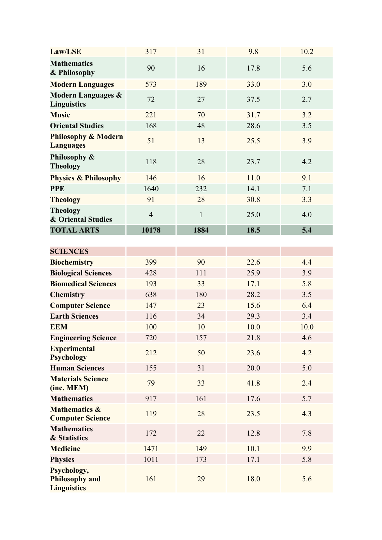| Law/LSE                                                    | 317            | 31           | 9.8  | 10.2 |
|------------------------------------------------------------|----------------|--------------|------|------|
| <b>Mathematics</b><br>& Philosophy                         | 90             | 16           | 17.8 | 5.6  |
| <b>Modern Languages</b>                                    | 573            | 189          | 33.0 | 3.0  |
| <b>Modern Languages &amp;</b><br><b>Linguistics</b>        | 72             | 27           | 37.5 | 2.7  |
| <b>Music</b>                                               | 221            | 70           | 31.7 | 3.2  |
| <b>Oriental Studies</b>                                    | 168            | 48           | 28.6 | 3.5  |
| <b>Philosophy &amp; Modern</b><br><b>Languages</b>         | 51             | 13           | 25.5 | 3.9  |
| Philosophy &<br><b>Theology</b>                            | 118            | 28           | 23.7 | 4.2  |
| <b>Physics &amp; Philosophy</b>                            | 146            | 16           | 11.0 | 9.1  |
| <b>PPE</b>                                                 | 1640           | 232          | 14.1 | 7.1  |
| <b>Theology</b>                                            | 91             | 28           | 30.8 | 3.3  |
| <b>Theology</b><br><b>&amp; Oriental Studies</b>           | $\overline{4}$ | $\mathbf{1}$ | 25.0 | 4.0  |
| <b>TOTAL ARTS</b>                                          | 10178          | 1884         | 18.5 | 5.4  |
|                                                            |                |              |      |      |
| <b>SCIENCES</b>                                            |                |              |      |      |
| <b>Biochemistry</b>                                        | 399            | 90           | 22.6 | 4.4  |
| <b>Biological Sciences</b>                                 | 428            | 111          | 25.9 | 3.9  |
| <b>Biomedical Sciences</b>                                 | 193            | 33           | 17.1 | 5.8  |
| <b>Chemistry</b>                                           | 638            | 180          | 28.2 | 3.5  |
| <b>Computer Science</b>                                    | 147            | 23           | 15.6 | 6.4  |
| <b>Earth Sciences</b>                                      | 116            | 34           | 29.3 | 3.4  |
| <b>EEM</b>                                                 | 100            | 10           | 10.0 | 10.0 |
| <b>Engineering Science</b>                                 | 720            | 157          | 21.8 | 4.6  |
| <b>Experimental</b><br><b>Psychology</b>                   | 212            | 50           | 23.6 | 4.2  |
| <b>Human Sciences</b>                                      | 155            | 31           | 20.0 | 5.0  |
| <b>Materials Science</b><br>(inc. MEM)                     | 79             | 33           | 41.8 | 2.4  |
| <b>Mathematics</b>                                         | 917            | 161          | 17.6 | 5.7  |
| <b>Mathematics &amp;</b><br><b>Computer Science</b>        | 119            | 28           | 23.5 | 4.3  |
| <b>Mathematics</b><br>& Statistics                         | 172            | 22           | 12.8 | 7.8  |
| <b>Medicine</b>                                            | 1471           | 149          | 10.1 | 9.9  |
| <b>Physics</b>                                             | 1011           | 173          | 17.1 | 5.8  |
| Psychology,<br><b>Philosophy and</b><br><b>Linguistics</b> | 161            | 29           | 18.0 | 5.6  |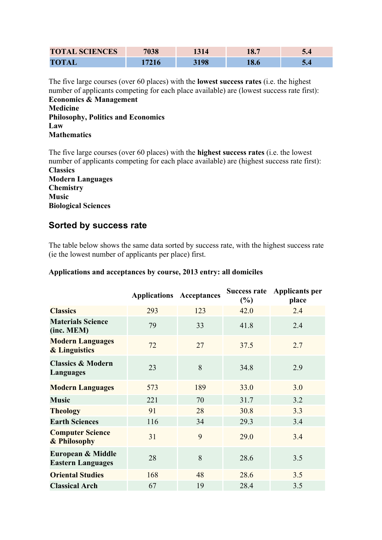| <b>TOTAL SCIENCES</b> | 7038 | $\bullet$ $\bullet$<br>10. | ◡◦  |
|-----------------------|------|----------------------------|-----|
| <b>TOTAL</b>          |      |                            | J.H |

The five large courses (over 60 places) with the **lowest success rates** (i.e. the highest number of applicants competing for each place available) are (lowest success rate first): **Economics & Management**

**Medicine Philosophy, Politics and Economics Law Mathematics**

The five large courses (over 60 places) with the **highest success rates** (i.e. the lowest number of applicants competing for each place available) are (highest success rate first): **Classics**

**Modern Languages Chemistry Music Biological Sciences**

### **Sorted by success rate**

The table below shows the same data sorted by success rate, with the highest success rate (ie the lowest number of applicants per place) first.

|                                                     | <b>Applications Acceptances</b> |     | <b>Success rate</b><br>$(\%)$ | <b>Applicants per</b><br>place |
|-----------------------------------------------------|---------------------------------|-----|-------------------------------|--------------------------------|
| <b>Classics</b>                                     | 293                             | 123 | 42.0                          | 2.4                            |
| <b>Materials Science</b><br>(inc. MEM)              | 79                              | 33  | 41.8                          | 2.4                            |
| <b>Modern Languages</b><br><b>&amp; Linguistics</b> | 72                              | 27  | 37.5                          | 2.7                            |
| <b>Classics &amp; Modern</b><br>Languages           | 23                              | 8   | 34.8                          | 2.9                            |
| <b>Modern Languages</b>                             | 573                             | 189 | 33.0                          | 3.0                            |
| <b>Music</b>                                        | 221                             | 70  | 31.7                          | 3.2                            |
| <b>Theology</b>                                     | 91                              | 28  | 30.8                          | 3.3                            |
| <b>Earth Sciences</b>                               | 116                             | 34  | 29.3                          | 3.4                            |
| <b>Computer Science</b><br>& Philosophy             | 31                              | 9   | 29.0                          | 3.4                            |
| European & Middle<br><b>Eastern Languages</b>       | 28                              | 8   | 28.6                          | 3.5                            |
| <b>Oriental Studies</b>                             | 168                             | 48  | 28.6                          | 3.5                            |
| <b>Classical Arch</b>                               | 67                              | 19  | 28.4                          | 3.5                            |

#### **Applications and acceptances by course, 2013 entry: all domiciles**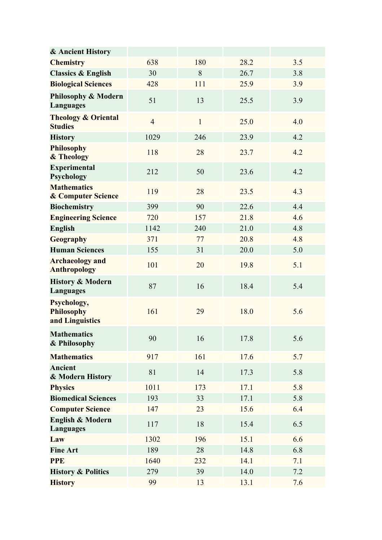| & Ancient History                                   |                |              |      |     |
|-----------------------------------------------------|----------------|--------------|------|-----|
| <b>Chemistry</b>                                    | 638            | 180          | 28.2 | 3.5 |
| <b>Classics &amp; English</b>                       | 30             | 8            | 26.7 | 3.8 |
| <b>Biological Sciences</b>                          | 428            | 111          | 25.9 | 3.9 |
| <b>Philosophy &amp; Modern</b><br><b>Languages</b>  | 51             | 13           | 25.5 | 3.9 |
| <b>Theology &amp; Oriental</b><br><b>Studies</b>    | $\overline{4}$ | $\mathbf{1}$ | 25.0 | 4.0 |
| <b>History</b>                                      | 1029           | 246          | 23.9 | 4.2 |
| <b>Philosophy</b><br>& Theology                     | 118            | 28           | 23.7 | 4.2 |
| <b>Experimental</b><br>Psychology                   | 212            | 50           | 23.6 | 4.2 |
| <b>Mathematics</b><br><b>&amp; Computer Science</b> | 119            | 28           | 23.5 | 4.3 |
| <b>Biochemistry</b>                                 | 399            | 90           | 22.6 | 4.4 |
| <b>Engineering Science</b>                          | 720            | 157          | 21.8 | 4.6 |
| <b>English</b>                                      | 1142           | 240          | 21.0 | 4.8 |
| <b>Geography</b>                                    | 371            | 77           | 20.8 | 4.8 |
| <b>Human Sciences</b>                               | 155            | 31           | 20.0 | 5.0 |
| <b>Archaeology and</b><br><b>Anthropology</b>       | 101            | 20           | 19.8 | 5.1 |
| <b>History &amp; Modern</b><br>Languages            | 87             | 16           | 18.4 | 5.4 |
| Psychology,<br><b>Philosophy</b><br>and Linguistics | 161            | 29           | 18.0 | 5.6 |
| <b>Mathematics</b><br>& Philosophy                  | 90             | 16           | 17.8 | 5.6 |
| <b>Mathematics</b>                                  | 917            | 161          | 17.6 | 5.7 |
| <b>Ancient</b><br>& Modern History                  | 81             | 14           | 17.3 | 5.8 |
| <b>Physics</b>                                      | 1011           | 173          | 17.1 | 5.8 |
| <b>Biomedical Sciences</b>                          | 193            | 33           | 17.1 | 5.8 |
| <b>Computer Science</b>                             | 147            | 23           | 15.6 | 6.4 |
| <b>English &amp; Modern</b><br>Languages            | 117            | 18           | 15.4 | 6.5 |
| Law                                                 | 1302           | 196          | 15.1 | 6.6 |
| <b>Fine Art</b>                                     | 189            | 28           | 14.8 | 6.8 |
| <b>PPE</b>                                          | 1640           | 232          | 14.1 | 7.1 |
| <b>History &amp; Politics</b>                       | 279            | 39           | 14.0 | 7.2 |
| <b>History</b>                                      | 99             | 13           | 13.1 | 7.6 |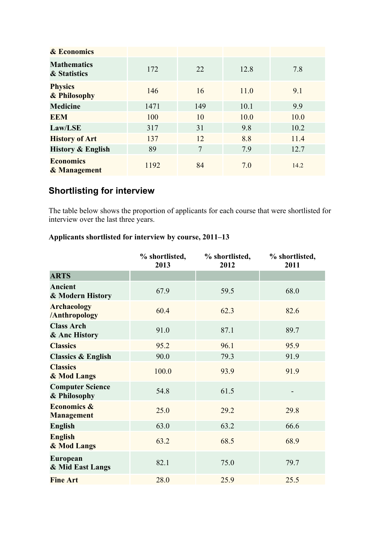| <b>&amp; Economics</b>             |      |                |      |      |
|------------------------------------|------|----------------|------|------|
| <b>Mathematics</b><br>& Statistics | 172  | 22             | 12.8 | 7.8  |
| <b>Physics</b><br>& Philosophy     | 146  | 16             | 11.0 | 9.1  |
| <b>Medicine</b>                    | 1471 | 149            | 10.1 | 9.9  |
| <b>EEM</b>                         | 100  | 10             | 10.0 | 10.0 |
| Law/LSE                            | 317  | 31             | 9.8  | 10.2 |
| <b>History of Art</b>              | 137  | 12             | 8.8  | 11.4 |
| <b>History &amp; English</b>       | 89   | $\overline{7}$ | 7.9  | 12.7 |
| <b>Economics</b><br>& Management   | 1192 | 84             | 7.0  | 14.2 |

## **Shortlisting for interview**

The table below shows the proportion of applicants for each course that were shortlisted for interview over the last three years.

## **Applicants shortlisted for interview by course, 2011–13**

|                                             | % shortlisted,<br>2013 | % shortlisted,<br>2012 | % shortlisted,<br>2011 |
|---------------------------------------------|------------------------|------------------------|------------------------|
| <b>ARTS</b>                                 |                        |                        |                        |
| <b>Ancient</b><br>& Modern History          | 67.9                   | 59.5                   | 68.0                   |
| <b>Archaeology</b><br>/Anthropology         | 60.4                   | 62.3                   | 82.6                   |
| <b>Class Arch</b><br>& Anc History          | 91.0                   | 87.1                   | 89.7                   |
| <b>Classics</b>                             | 95.2                   | 96.1                   | 95.9                   |
| <b>Classics &amp; English</b>               | 90.0                   | 79.3                   | 91.9                   |
| <b>Classics</b><br>& Mod Langs              | 100.0                  | 93.9                   | 91.9                   |
| <b>Computer Science</b><br>& Philosophy     | 54.8                   | 61.5                   |                        |
| <b>Economics &amp;</b><br><b>Management</b> | 25.0                   | 29.2                   | 29.8                   |
| <b>English</b>                              | 63.0                   | 63.2                   | 66.6                   |
| <b>English</b><br>& Mod Langs               | 63.2                   | 68.5                   | 68.9                   |
| European<br>& Mid East Langs                | 82.1                   | 75.0                   | 79.7                   |
| <b>Fine Art</b>                             | 28.0                   | 25.9                   | 25.5                   |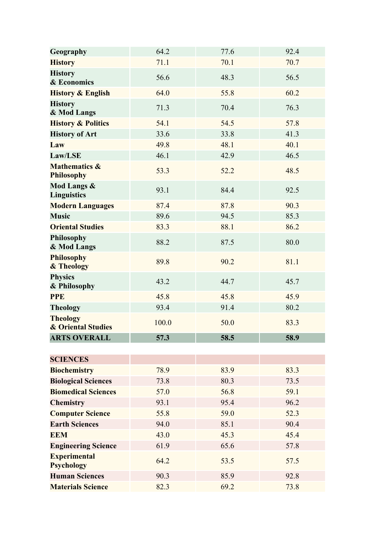| Geography                                        | 64.2  | 77.6 | 92.4 |
|--------------------------------------------------|-------|------|------|
| <b>History</b>                                   | 71.1  | 70.1 | 70.7 |
| <b>History</b><br>& Economics                    | 56.6  | 48.3 | 56.5 |
| <b>History &amp; English</b>                     | 64.0  | 55.8 | 60.2 |
| <b>History</b><br>& Mod Langs                    | 71.3  | 70.4 | 76.3 |
| <b>History &amp; Politics</b>                    | 54.1  | 54.5 | 57.8 |
| <b>History of Art</b>                            | 33.6  | 33.8 | 41.3 |
| Law                                              | 49.8  | 48.1 | 40.1 |
| Law/LSE                                          | 46.1  | 42.9 | 46.5 |
| <b>Mathematics &amp;</b><br><b>Philosophy</b>    | 53.3  | 52.2 | 48.5 |
| <b>Mod Langs &amp;</b><br><b>Linguistics</b>     | 93.1  | 84.4 | 92.5 |
| <b>Modern Languages</b>                          | 87.4  | 87.8 | 90.3 |
| <b>Music</b>                                     | 89.6  | 94.5 | 85.3 |
| <b>Oriental Studies</b>                          | 83.3  | 88.1 | 86.2 |
| <b>Philosophy</b><br>& Mod Langs                 | 88.2  | 87.5 | 80.0 |
| <b>Philosophy</b><br>& Theology                  | 89.8  | 90.2 | 81.1 |
| <b>Physics</b><br>& Philosophy                   | 43.2  | 44.7 | 45.7 |
| <b>PPE</b>                                       | 45.8  | 45.8 | 45.9 |
| <b>Theology</b>                                  | 93.4  | 91.4 | 80.2 |
| <b>Theology</b><br><b>&amp; Oriental Studies</b> | 100.0 | 50.0 | 83.3 |
| <b>ARTS OVERALL</b>                              | 57.3  | 58.5 | 58.9 |
|                                                  |       |      |      |
| <b>SCIENCES</b>                                  |       |      |      |
| <b>Biochemistry</b>                              | 78.9  | 83.9 | 83.3 |
| <b>Biological Sciences</b>                       | 73.8  | 80.3 | 73.5 |
| <b>Biomedical Sciences</b>                       | 57.0  | 56.8 | 59.1 |
| <b>Chemistry</b>                                 | 93.1  | 95.4 | 96.2 |
| <b>Computer Science</b>                          | 55.8  | 59.0 | 52.3 |
| <b>Earth Sciences</b>                            | 94.0  | 85.1 | 90.4 |
| <b>EEM</b>                                       | 43.0  | 45.3 | 45.4 |
| <b>Engineering Science</b>                       | 61.9  | 65.6 | 57.8 |
| <b>Experimental</b><br><b>Psychology</b>         | 64.2  | 53.5 | 57.5 |
| <b>Human Sciences</b>                            | 90.3  | 85.9 | 92.8 |
| <b>Materials Science</b>                         | 82.3  | 69.2 | 73.8 |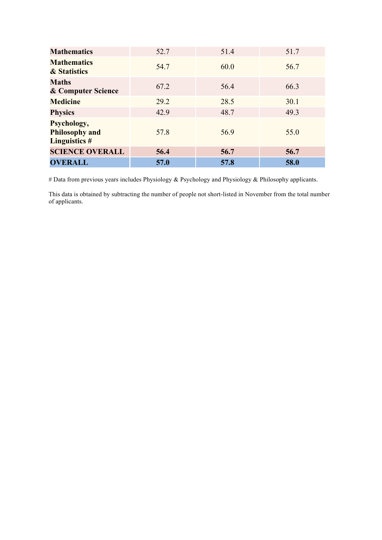| <b>Mathematics</b>                                           | 52.7 | 51.4 | 51.7 |
|--------------------------------------------------------------|------|------|------|
| <b>Mathematics</b><br>& Statistics                           | 54.7 | 60.0 | 56.7 |
| <b>Maths</b><br><b>&amp; Computer Science</b>                | 67.2 | 56.4 | 66.3 |
| <b>Medicine</b>                                              | 29.2 | 28.5 | 30.1 |
| <b>Physics</b>                                               | 42.9 | 48.7 | 49.3 |
| Psychology,<br><b>Philosophy and</b><br><b>Linguistics #</b> | 57.8 | 56.9 | 55.0 |
| <b>SCIENCE OVERALL</b>                                       | 56.4 | 56.7 | 56.7 |
| <b>OVERALL</b>                                               | 57.0 | 57.8 | 58.0 |

# Data from previous years includes Physiology & Psychology and Physiology & Philosophy applicants.

This data is obtained by subtracting the number of people not short-listed in November from the total number of applicants.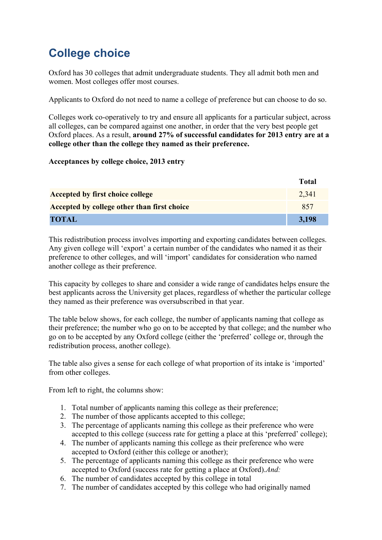# **College choice**

Oxford has 30 colleges that admit undergraduate students. They all admit both men and women. Most colleges offer most courses.

Applicants to Oxford do not need to name a college of preference but can choose to do so.

Colleges work co-operatively to try and ensure all applicants for a particular subject, across all colleges, can be compared against one another, in order that the very best people get Oxford places. As a result, **around 27% of successful candidates for 2013 entry are at a college other than the college they named as their preference.**

#### **Acceptances by college choice, 2013 entry**

|                                             | Total |
|---------------------------------------------|-------|
| <b>Accepted by first choice college</b>     | 2,341 |
| Accepted by college other than first choice | 857   |
| <b>TOTAL</b>                                | 3,198 |

This redistribution process involves importing and exporting candidates between colleges. Any given college will 'export' a certain number of the candidates who named it as their preference to other colleges, and will 'import' candidates for consideration who named another college as their preference.

This capacity by colleges to share and consider a wide range of candidates helps ensure the best applicants across the University get places, regardless of whether the particular college they named as their preference was oversubscribed in that year.

The table below shows, for each college, the number of applicants naming that college as their preference; the number who go on to be accepted by that college; and the number who go on to be accepted by any Oxford college (either the 'preferred' college or, through the redistribution process, another college).

The table also gives a sense for each college of what proportion of its intake is 'imported' from other colleges.

From left to right, the columns show:

- 1. Total number of applicants naming this college as their preference;
- 2. The number of those applicants accepted to this college;
- 3. The percentage of applicants naming this college as their preference who were accepted to this college (success rate for getting a place at this 'preferred' college);
- 4. The number of applicants naming this college as their preference who were accepted to Oxford (either this college or another);
- 5. The percentage of applicants naming this college as their preference who were accepted to Oxford (success rate for getting a place at Oxford).*And:*
- 6. The number of candidates accepted by this college in total
- 7. The number of candidates accepted by this college who had originally named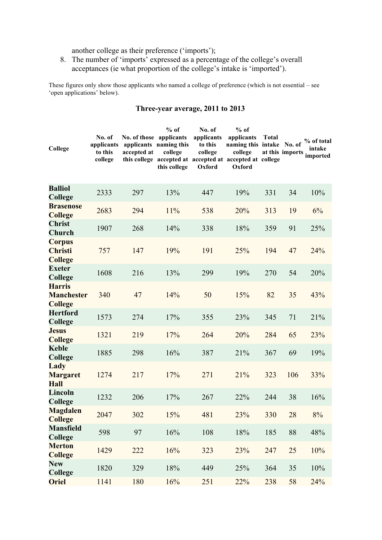another college as their preference ('imports');

8. The number of 'imports' expressed as a percentage of the college's overall acceptances (ie what proportion of the college's intake is 'imported').

These figures only show those applicants who named a college of preference (which is not essential – see 'open applications' below).

| College                                              | No. of<br>applicants<br>to this<br>college | No. of those applicants<br>accepted at | $%$ of<br>applicants naming this<br>college<br>this college | No. of<br>applicants<br>to this<br>college<br>Oxford | $%$ of<br>applicants<br>naming this intake No. of<br>college<br>this college accepted at accepted at accepted at college<br>Oxford | <b>Total</b> | at this imports | % of total<br>intake<br>imported |
|------------------------------------------------------|--------------------------------------------|----------------------------------------|-------------------------------------------------------------|------------------------------------------------------|------------------------------------------------------------------------------------------------------------------------------------|--------------|-----------------|----------------------------------|
| <b>Balliol</b><br>College                            | 2333                                       | 297                                    | 13%                                                         | 447                                                  | 19%                                                                                                                                | 331          | 34              | 10%                              |
| <b>Brasenose</b><br><b>College</b>                   | 2683                                       | 294                                    | 11%                                                         | 538                                                  | 20%                                                                                                                                | 313          | 19              | 6%                               |
| <b>Christ</b><br>Church                              | 1907                                       | 268                                    | 14%                                                         | 338                                                  | 18%                                                                                                                                | 359          | 91              | 25%                              |
| <b>Corpus</b><br><b>Christi</b><br><b>College</b>    | 757                                        | 147                                    | 19%                                                         | 191                                                  | 25%                                                                                                                                | 194          | 47              | 24%                              |
| <b>Exeter</b><br>College                             | 1608                                       | 216                                    | 13%                                                         | 299                                                  | 19%                                                                                                                                | 270          | 54              | 20%                              |
| <b>Harris</b><br><b>Manchester</b><br><b>College</b> | 340                                        | 47                                     | 14%                                                         | 50                                                   | 15%                                                                                                                                | 82           | 35              | 43%                              |
| <b>Hertford</b><br>College                           | 1573                                       | 274                                    | 17%                                                         | 355                                                  | 23%                                                                                                                                | 345          | 71              | 21%                              |
| <b>Jesus</b><br><b>College</b>                       | 1321                                       | 219                                    | 17%                                                         | 264                                                  | 20%                                                                                                                                | 284          | 65              | 23%                              |
| <b>Keble</b><br>College                              | 1885                                       | 298                                    | 16%                                                         | 387                                                  | 21%                                                                                                                                | 367          | 69              | 19%                              |
| Lady<br><b>Margaret</b><br><b>Hall</b>               | 1274                                       | 217                                    | 17%                                                         | 271                                                  | 21%                                                                                                                                | 323          | 106             | 33%                              |
| Lincoln<br>College                                   | 1232                                       | 206                                    | 17%                                                         | 267                                                  | 22%                                                                                                                                | 244          | 38              | 16%                              |
| <b>Magdalen</b><br><b>College</b>                    | 2047                                       | 302                                    | 15%                                                         | 481                                                  | 23%                                                                                                                                | 330          | 28              | 8%                               |
| <b>Mansfield</b><br>College                          | 598                                        | 97                                     | 16%                                                         | 108                                                  | 18%                                                                                                                                | 185          | 88              | 48%                              |
| <b>Merton</b><br><b>College</b>                      | 1429                                       | 222                                    | 16%                                                         | 323                                                  | 23%                                                                                                                                | 247          | 25              | 10%                              |
| <b>New</b><br>College                                | 1820                                       | 329                                    | 18%                                                         | 449                                                  | 25%                                                                                                                                | 364          | 35              | 10%                              |
| <b>Oriel</b>                                         | 1141                                       | 180                                    | 16%                                                         | 251                                                  | 22%                                                                                                                                | 238          | 58              | 24%                              |

#### **Three-year average, 2011 to 2013**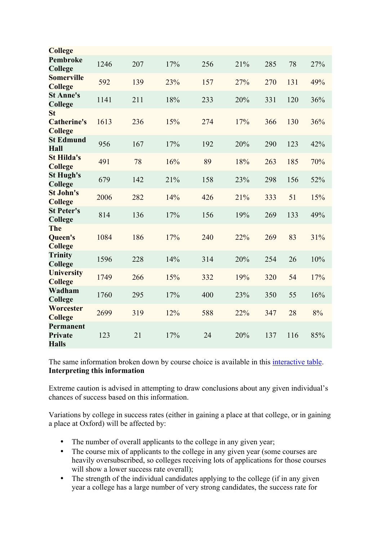| <b>College</b>                                    |      |     |     |     |     |     |     |     |
|---------------------------------------------------|------|-----|-----|-----|-----|-----|-----|-----|
| <b>Pembroke</b><br>College                        | 1246 | 207 | 17% | 256 | 21% | 285 | 78  | 27% |
| <b>Somerville</b><br><b>College</b>               | 592  | 139 | 23% | 157 | 27% | 270 | 131 | 49% |
| <b>St Anne's</b><br>College                       | 1141 | 211 | 18% | 233 | 20% | 331 | 120 | 36% |
| <b>St</b><br><b>Catherine's</b><br><b>College</b> | 1613 | 236 | 15% | 274 | 17% | 366 | 130 | 36% |
| <b>St Edmund</b><br>Hall                          | 956  | 167 | 17% | 192 | 20% | 290 | 123 | 42% |
| <b>St Hilda's</b><br><b>College</b>               | 491  | 78  | 16% | 89  | 18% | 263 | 185 | 70% |
| <b>St Hugh's</b><br>College                       | 679  | 142 | 21% | 158 | 23% | 298 | 156 | 52% |
| <b>St John's</b><br><b>College</b>                | 2006 | 282 | 14% | 426 | 21% | 333 | 51  | 15% |
| <b>St Peter's</b><br>College                      | 814  | 136 | 17% | 156 | 19% | 269 | 133 | 49% |
| The<br><b>Queen's</b><br><b>College</b>           | 1084 | 186 | 17% | 240 | 22% | 269 | 83  | 31% |
| <b>Trinity</b><br>College                         | 1596 | 228 | 14% | 314 | 20% | 254 | 26  | 10% |
| <b>University</b><br><b>College</b>               | 1749 | 266 | 15% | 332 | 19% | 320 | 54  | 17% |
| Wadham<br>College                                 | 1760 | 295 | 17% | 400 | 23% | 350 | 55  | 16% |
| Worcester<br><b>College</b>                       | 2699 | 319 | 12% | 588 | 22% | 347 | 28  | 8%  |
| Permanent<br><b>Private</b><br><b>Halls</b>       | 123  | 21  | 17% | 24  | 20% | 137 | 116 | 85% |

The same information broken down by course choice is available in this interactive table. **Interpreting this information**

Extreme caution is advised in attempting to draw conclusions about any given individual's chances of success based on this information.

Variations by college in success rates (either in gaining a place at that college, or in gaining a place at Oxford) will be affected by:

- The number of overall applicants to the college in any given year;
- The course mix of applicants to the college in any given year (some courses are heavily oversubscribed, so colleges receiving lots of applications for those courses will show a lower success rate overall);
- The strength of the individual candidates applying to the college (if in any given year a college has a large number of very strong candidates, the success rate for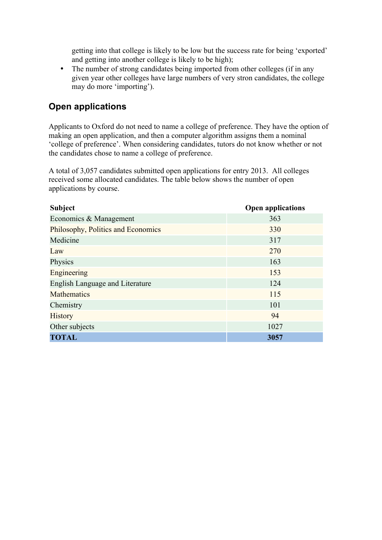getting into that college is likely to be low but the success rate for being 'exported' and getting into another college is likely to be high);

• The number of strong candidates being imported from other colleges (if in any given year other colleges have large numbers of very stron candidates, the college may do more 'importing').

## **Open applications**

Applicants to Oxford do not need to name a college of preference. They have the option of making an open application, and then a computer algorithm assigns them a nominal 'college of preference'. When considering candidates, tutors do not know whether or not the candidates chose to name a college of preference.

A total of 3,057 candidates submitted open applications for entry 2013. All colleges received some allocated candidates. The table below shows the number of open applications by course.

| <b>Subject</b>                         | <b>Open applications</b> |
|----------------------------------------|--------------------------|
| Economics & Management                 | 363                      |
| Philosophy, Politics and Economics     | 330                      |
| Medicine                               | 317                      |
| Law                                    | 270                      |
| Physics                                | 163                      |
| Engineering                            | 153                      |
| <b>English Language and Literature</b> | 124                      |
| <b>Mathematics</b>                     | 115                      |
| Chemistry                              | 101                      |
| <b>History</b>                         | 94                       |
| Other subjects                         | 1027                     |
| <b>TOTAL</b>                           | 3057                     |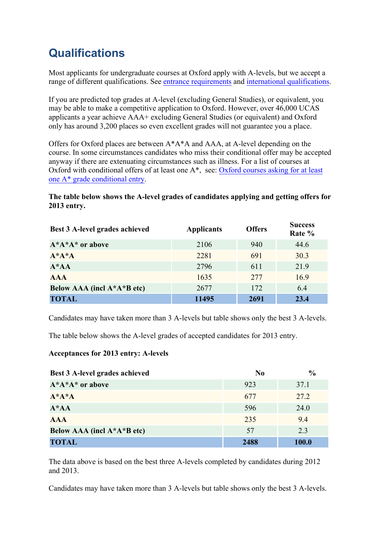## **Qualifications**

Most applicants for undergraduate courses at Oxford apply with A-levels, but we accept a range of different qualifications. See entrance requirements and international qualifications.

If you are predicted top grades at A-level (excluding General Studies), or equivalent, you may be able to make a competitive application to Oxford. However, over 46,000 UCAS applicants a year achieve AAA+ excluding General Studies (or equivalent) and Oxford only has around 3,200 places so even excellent grades will not guarantee you a place.

Offers for Oxford places are between A\*A\*A and AAA, at A-level depending on the course. In some circumstances candidates who miss their conditional offer may be accepted anyway if there are extenuating circumstances such as illness. For a list of courses at Oxford with conditional offers of at least one A\*, see: Oxford courses asking for at least one A\* grade conditional entry.

#### **The table below shows the A-level grades of candidates applying and getting offers for 2013 entry.**

| Best 3 A-level grades achieved | <b>Applicants</b> | <b>Offers</b> | <b>Success</b><br>Rate % |
|--------------------------------|-------------------|---------------|--------------------------|
| $A^*A^*A^*$ or above           | 2106              | 940           | 44.6                     |
| $A^*A^*A$                      | 2281              | 691           | 30.3                     |
| $A^*AA$                        | 2796              | 611           | 21.9                     |
| <b>AAA</b>                     | 1635              | 277           | 16.9                     |
| Below AAA (incl A*A*B etc)     | 2677              | 172           | 6.4                      |
| <b>TOTAL</b>                   | 11495             | 2691          | 23.4                     |

Candidates may have taken more than 3 A-levels but table shows only the best 3 A-levels.

The table below shows the A-level grades of accepted candidates for 2013 entry.

#### **Acceptances for 2013 entry: A-levels**

| <b>Best 3 A-level grades achieved</b> | N <sub>0</sub> | $\frac{0}{0}$ |
|---------------------------------------|----------------|---------------|
| $A^*A^*A^*$ or above                  | 923            | 37.1          |
| $A^*A^*A$                             | 677            | 27.2          |
| $A^*AA$                               | 596            | 24.0          |
| <b>AAA</b>                            | 235            | 9.4           |
| Below AAA (incl A*A*B etc)            | 57             | 2.3           |
| <b>TOTAL</b>                          | 2488           | <b>100.0</b>  |

The data above is based on the best three A-levels completed by candidates during 2012 and 2013.

Candidates may have taken more than 3 A-levels but table shows only the best 3 A-levels.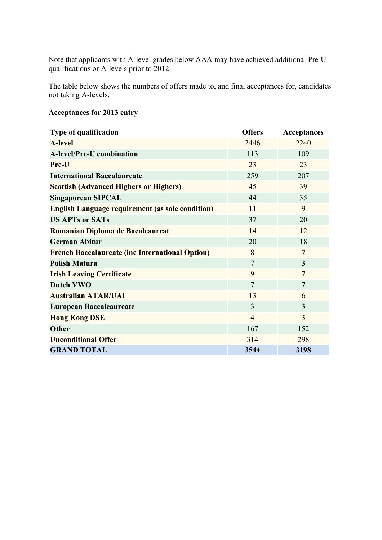Note that applicants with A-level grades below AAA may have achieved additional Pre-U qualifications or A-levels prior to 2012.

The table below shows the numbers of offers made to, and final acceptances for, candidates not taking A-levels.

#### **Acceptances for 2013 entry**

| <b>Type of qualification</b>                            | <b>Offers</b>  | <b>Acceptances</b> |
|---------------------------------------------------------|----------------|--------------------|
| <b>A-level</b>                                          | 2446           | 2240               |
| <b>A-level/Pre-U combination</b>                        | 113            | 109                |
| Pre-U                                                   | 23             | 23                 |
| <b>International Baccalaureate</b>                      | 259            | 207                |
| <b>Scottish (Advanced Highers or Highers)</b>           | 45             | 39                 |
| <b>Singaporean SIPCAL</b>                               | 44             | 35                 |
| <b>English Language requirement (as sole condition)</b> | 11             | 9                  |
| <b>US APTs or SATs</b>                                  | 37             | 20                 |
| Romanian Diploma de Bacaleaureat                        | 14             | 12                 |
| <b>German Abitur</b>                                    | 20             | 18                 |
| <b>French Baccalaureate (inc International Option)</b>  | 8              | $\overline{7}$     |
| <b>Polish Matura</b>                                    | $\overline{7}$ | 3                  |
| <b>Irish Leaving Certificate</b>                        | 9              | $\overline{7}$     |
| <b>Dutch VWO</b>                                        | $\overline{7}$ | $\overline{7}$     |
| <b>Australian ATAR/UAI</b>                              | 13             | 6                  |
| <b>European Baccaleaureate</b>                          | 3              | 3                  |
| <b>Hong Kong DSE</b>                                    | $\overline{4}$ | 3                  |
| <b>Other</b>                                            | 167            | 152                |
| <b>Unconditional Offer</b>                              | 314            | 298                |
| <b>GRAND TOTAL</b>                                      | 3544           | 3198               |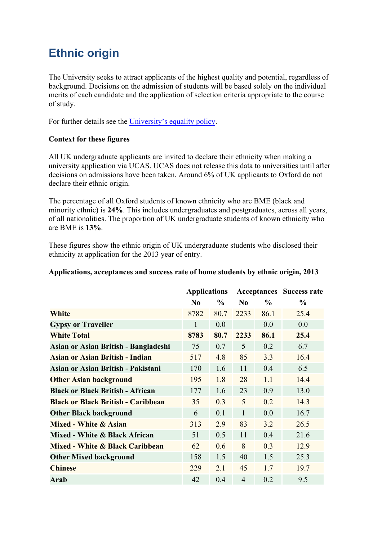## **Ethnic origin**

The University seeks to attract applicants of the highest quality and potential, regardless of background. Decisions on the admission of students will be based solely on the individual merits of each candidate and the application of selection criteria appropriate to the course of study.

For further details see the University's equality policy.

#### **Context for these figures**

All UK undergraduate applicants are invited to declare their ethnicity when making a university application via UCAS. UCAS does not release this data to universities until after decisions on admissions have been taken. Around 6% of UK applicants to Oxford do not declare their ethnic origin.

The percentage of all Oxford students of known ethnicity who are BME (black and minority ethnic) is **24%**. This includes undergraduates and postgraduates, across all years, of all nationalities. The proportion of UK undergraduate students of known ethnicity who are BME is **13%**.

These figures show the ethnic origin of UK undergraduate students who disclosed their ethnicity at application for the 2013 year of entry.

| Applications, acceptances and success rate of home students by ethnic origin, 2013 |  |  |  |  |
|------------------------------------------------------------------------------------|--|--|--|--|
|------------------------------------------------------------------------------------|--|--|--|--|

|                                           | <b>Applications</b> |               | <b>Acceptances</b> Success rate |               |               |
|-------------------------------------------|---------------------|---------------|---------------------------------|---------------|---------------|
|                                           | N <sub>0</sub>      | $\frac{6}{9}$ | $\bf No$                        | $\frac{6}{9}$ | $\frac{0}{0}$ |
| <b>White</b>                              | 8782                | 80.7          | 2233                            | 86.1          | 25.4          |
| <b>Gypsy or Traveller</b>                 | $\mathbf{1}$        | 0.0           |                                 | 0.0           | 0.0           |
| <b>White Total</b>                        | 8783                | 80.7          | 2233                            | 86.1          | 25.4          |
| Asian or Asian British - Bangladeshi      | 75                  | 0.7           | 5                               | 0.2           | 6.7           |
| <b>Asian or Asian British - Indian</b>    | 517                 | 4.8           | 85                              | 3.3           | 16.4          |
| Asian or Asian British - Pakistani        | 170                 | 1.6           | 11                              | 0.4           | 6.5           |
| <b>Other Asian background</b>             | 195                 | 1.8           | 28                              | 1.1           | 14.4          |
| <b>Black or Black British - African</b>   | 177                 | 1.6           | 23                              | 0.9           | 13.0          |
| <b>Black or Black British - Caribbean</b> | 35                  | 0.3           | 5                               | 0.2           | 14.3          |
| <b>Other Black background</b>             | 6                   | 0.1           | $\mathbf{1}$                    | 0.0           | 16.7          |
| Mixed - White & Asian                     | 313                 | 2.9           | 83                              | 3.2           | 26.5          |
| Mixed - White & Black African             | 51                  | 0.5           | 11                              | 0.4           | 21.6          |
| Mixed - White & Black Caribbean           | 62                  | 0.6           | 8                               | 0.3           | 12.9          |
| <b>Other Mixed background</b>             | 158                 |               | 40                              | 1.5           | 25.3          |
| <b>Chinese</b>                            | 229                 | 2.1           | 45                              | 1.7           | 19.7          |
| Arab                                      | 42                  | 0.4           | $\overline{4}$                  | 0.2           | 9.5           |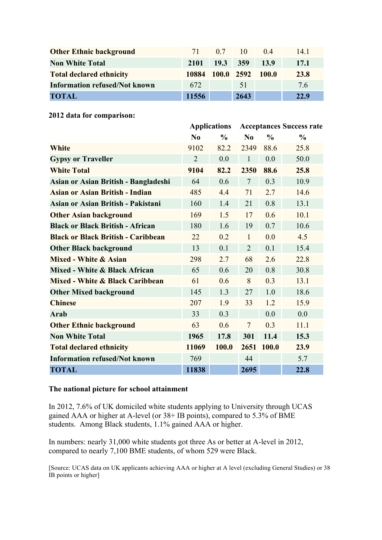| <b>Other Ethnic background</b>       | 71 <sub>1</sub> |          | $0.7$ 10 | (14)             | 14 1 |
|--------------------------------------|-----------------|----------|----------|------------------|------|
| <b>Non White Total</b>               | 2101            | 19.3 359 |          | <b>13.9</b>      | 17.1 |
| <b>Total declared ethnicity</b>      | 10884           |          |          | 100.0 2592 100.0 | 23.8 |
| <b>Information refused/Not known</b> | 672             |          | 51       |                  | 76   |
| <b>TOTAL</b>                         | 11556           |          | 2643     |                  | 22.9 |

**2012 data for comparison:**

|                                           |                | <b>Applications</b> |                |               | <b>Acceptances Success rate</b> |  |
|-------------------------------------------|----------------|---------------------|----------------|---------------|---------------------------------|--|
|                                           | $\bf No$       | $\frac{0}{0}$       | No             | $\frac{0}{0}$ | $\frac{0}{0}$                   |  |
| White                                     | 9102           | 82.2                | 2349           | 88.6          | 25.8                            |  |
| <b>Gypsy or Traveller</b>                 | $\overline{2}$ | 0.0                 | $\mathbf{1}$   | 0.0           | 50.0                            |  |
| <b>White Total</b>                        | 9104           | 82.2                | 2350           | 88.6          | 25.8                            |  |
| Asian or Asian British - Bangladeshi      | 64             | 0.6                 | $\overline{7}$ | 0.3           | 10.9                            |  |
| Asian or Asian British - Indian           | 485            | 4.4                 | 71             | 2.7           | 14.6                            |  |
| Asian or Asian British - Pakistani        | 160            | 1.4                 | 21             | 0.8           | 13.1                            |  |
| <b>Other Asian background</b>             | 169            | 1.5                 | 17             | 0.6           | 10.1                            |  |
| <b>Black or Black British - African</b>   | 180            | 1.6                 | 19             | 0.7           | 10.6                            |  |
| <b>Black or Black British - Caribbean</b> | 22             | 0.2                 | $\mathbf{1}$   | 0.0           | 4.5                             |  |
| <b>Other Black background</b>             | 13             | 0.1                 | $\overline{2}$ | 0.1           | 15.4                            |  |
| Mixed - White & Asian                     | 298            | 2.7                 | 68             | 2.6           | 22.8                            |  |
| Mixed - White & Black African             | 65             | 0.6                 | 20             | 0.8           | 30.8                            |  |
| Mixed - White & Black Caribbean           | 61             | 0.6                 | 8              | 0.3           | 13.1                            |  |
| <b>Other Mixed background</b>             | 145            | 1.3                 | 27             | 1.0           | 18.6                            |  |
| <b>Chinese</b>                            | 207            | 1.9                 | 33             | 1.2           | 15.9                            |  |
| <b>Arab</b>                               | 33             | 0.3                 |                | 0.0           | 0.0                             |  |
| <b>Other Ethnic background</b>            | 63             | 0.6                 | $\overline{7}$ | 0.3           | 11.1                            |  |
| <b>Non White Total</b>                    | 1965           | 17.8                | 301            | 11.4          | 15.3                            |  |
| <b>Total declared ethnicity</b>           | 11069          | 100.0               | 2651           | 100.0         | 23.9                            |  |
| <b>Information refused/Not known</b>      | 769            |                     | 44             |               | 5.7                             |  |
| <b>TOTAL</b>                              | 11838          |                     | 2695           |               | 22.8                            |  |

#### **The national picture for school attainment**

In 2012, 7.6% of UK domiciled white students applying to University through UCAS gained AAA or higher at A-level (or 38+ IB points), compared to 5.3% of BME students. Among Black students, 1.1% gained AAA or higher.

In numbers: nearly 31,000 white students got three As or better at A-level in 2012, compared to nearly 7,100 BME students, of whom 529 were Black.

[Source: UCAS data on UK applicants achieving AAA or higher at A level (excluding General Studies) or 38 IB points or higher]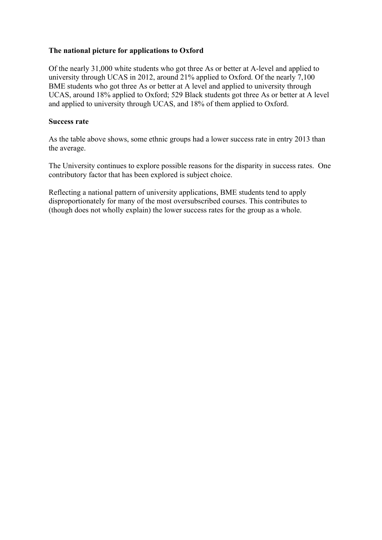#### **The national picture for applications to Oxford**

Of the nearly 31,000 white students who got three As or better at A-level and applied to university through UCAS in 2012, around 21% applied to Oxford. Of the nearly 7,100 BME students who got three As or better at A level and applied to university through UCAS, around 18% applied to Oxford; 529 Black students got three As or better at A level and applied to university through UCAS, and 18% of them applied to Oxford.

#### **Success rate**

As the table above shows, some ethnic groups had a lower success rate in entry 2013 than the average.

The University continues to explore possible reasons for the disparity in success rates. One contributory factor that has been explored is subject choice.

Reflecting a national pattern of university applications, BME students tend to apply disproportionately for many of the most oversubscribed courses. This contributes to (though does not wholly explain) the lower success rates for the group as a whole.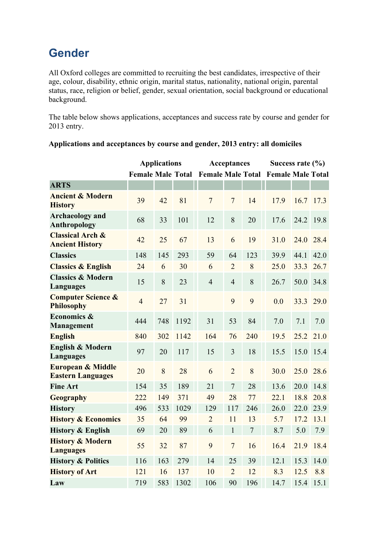## **Gender**

All Oxford colleges are committed to recruiting the best candidates, irrespective of their age, colour, disability, ethnic origin, marital status, nationality, national origin, parental status, race, religion or belief, gender, sexual orientation, social background or educational background.

The table below shows applications, acceptances and success rate by course and gender for 2013 entry.

|                                                          |                          | <b>Applications</b> |      |                | Acceptances    |                  |                                            | Success rate $(\% )$ |             |  |
|----------------------------------------------------------|--------------------------|---------------------|------|----------------|----------------|------------------|--------------------------------------------|----------------------|-------------|--|
|                                                          | <b>Female Male Total</b> |                     |      |                |                |                  | <b>Female Male Total Female Male Total</b> |                      |             |  |
| <b>ARTS</b>                                              |                          |                     |      |                |                |                  |                                            |                      |             |  |
| <b>Ancient &amp; Modern</b><br><b>History</b>            | 39                       | 42                  | 81   | $\overline{7}$ | $\overline{7}$ | 14               | 17.9                                       |                      | $16.7$ 17.3 |  |
| <b>Archaeology</b> and<br><b>Anthropology</b>            | 68                       | 33                  | 101  | 12             | 8              | 20               | 17.6                                       | 24.2                 | 19.8        |  |
| <b>Classical Arch &amp;</b><br><b>Ancient History</b>    | 42                       | 25                  | 67   | 13             | 6              | 19               | 31.0                                       | 24.0                 | 28.4        |  |
| <b>Classics</b>                                          | 148                      | 145                 | 293  | 59             | 64             | 123              | 39.9                                       | 44.1                 | 42.0        |  |
| <b>Classics &amp; English</b>                            | 24                       | 6                   | 30   | 6              | $\overline{2}$ | 8                | 25.0                                       | 33.3                 | 26.7        |  |
| <b>Classics &amp; Modern</b><br><b>Languages</b>         | 15                       | 8                   | 23   | $\overline{4}$ | $\overline{4}$ | 8                | 26.7                                       | 50.0                 | 34.8        |  |
| <b>Computer Science &amp;</b><br><b>Philosophy</b>       | $\overline{4}$           | 27                  | 31   |                | 9              | 9                | 0.0                                        | 33.3                 | 29.0        |  |
| Economics &<br><b>Management</b>                         | 444                      | 748                 | 1192 | 31             | 53             | 84               | 7.0                                        | 7.1                  | 7.0         |  |
| <b>English</b>                                           | 840                      | 302                 | 1142 | 164            | 76             | 240              | 19.5                                       | 25.2                 | 21.0        |  |
| <b>English &amp; Modern</b><br><b>Languages</b>          | 97                       | 20                  | 117  | 15             | $\overline{3}$ | 18               | 15.5                                       | 15.0                 | 15.4        |  |
| <b>European &amp; Middle</b><br><b>Eastern Languages</b> | 20                       | $\,8\,$             | 28   | 6              | $\overline{2}$ | 8                | 30.0                                       | 25.0                 | 28.6        |  |
| <b>Fine Art</b>                                          | 154                      | 35                  | 189  | 21             | $\overline{7}$ | 28               | 13.6                                       | 20.0                 | 14.8        |  |
| Geography                                                | 222                      | 149                 | 371  | 49             | 28             | 77               | 22.1                                       | 18.8                 | 20.8        |  |
| <b>History</b>                                           | 496                      | 533                 | 1029 | 129            | 117            | 246              | 26.0                                       | 22.0                 | 23.9        |  |
| <b>History &amp; Economics</b>                           | 35                       | 64                  | 99   | $\overline{2}$ | 11             | 13               | 5.7                                        | 17.2                 | 13.1        |  |
| <b>History &amp; English</b>                             | 69                       | 20                  | 89   | 6              | $\mathbf 1$    | $\boldsymbol{7}$ | 8.7                                        | 5.0                  | 7.9         |  |
| <b>History &amp; Modern</b><br><b>Languages</b>          | 55                       | 32                  | 87   | 9              | $\overline{7}$ | 16               | 16.4                                       | 21.9                 | 18.4        |  |
| <b>History &amp; Politics</b>                            | 116                      | 163                 | 279  | 14             | 25             | 39               | 12.1                                       | 15.3                 | 14.0        |  |
| <b>History of Art</b>                                    | 121                      | 16                  | 137  | 10             | $\overline{2}$ | 12               | 8.3                                        | 12.5                 | 8.8         |  |
| Law                                                      | 719                      | 583                 | 1302 | 106            | 90             | 196              | 14.7                                       | 15.4                 | 15.1        |  |

#### **Applications and acceptances by course and gender, 2013 entry: all domiciles**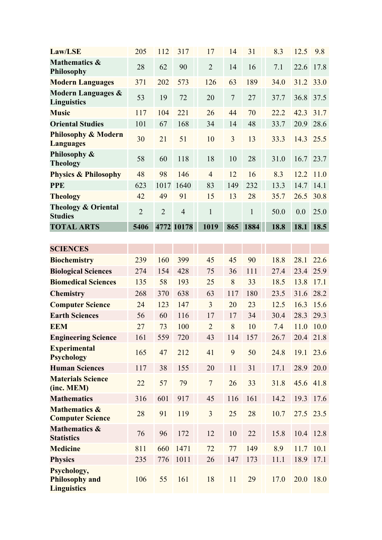| <b>Law/LSE</b>                                             | 205            | 112            | 317            | 17             | 14     | 31           | 8.3  | 12.5 | 9.8       |
|------------------------------------------------------------|----------------|----------------|----------------|----------------|--------|--------------|------|------|-----------|
| <b>Mathematics &amp;</b><br>Philosophy                     | 28             | 62             | 90             | $\overline{2}$ | 14     | 16           | 7.1  | 22.6 | 17.8      |
| <b>Modern Languages</b>                                    | 371            | 202            | 573            | 126            | 63     | 189          | 34.0 | 31.2 | 33.0      |
| <b>Modern Languages &amp;</b><br><b>Linguistics</b>        | 53             | 19             | 72             | 20             | $\tau$ | 27           | 37.7 | 36.8 | 37.5      |
| <b>Music</b>                                               | 117            | 104            | 221            | 26             | 44     | 70           | 22.2 | 42.3 | 31.7      |
| <b>Oriental Studies</b>                                    | 101            | 67             | 168            | 34             | 14     | 48           | 33.7 | 20.9 | 28.6      |
| <b>Philosophy &amp; Modern</b><br><b>Languages</b>         | 30             | 21             | 51             | 10             | 3      | 13           | 33.3 | 14.3 | 25.5      |
| Philosophy &<br><b>Theology</b>                            | 58             | 60             | 118            | 18             | 10     | 28           | 31.0 | 16.7 | 23.7      |
| <b>Physics &amp; Philosophy</b>                            | 48             | 98             | 146            | $\overline{4}$ | 12     | 16           | 8.3  | 12.2 | 11.0      |
| <b>PPE</b>                                                 | 623            | 1017           | 1640           | 83             | 149    | 232          | 13.3 | 14.7 | 14.1      |
| <b>Theology</b>                                            | 42             | 49             | 91             | 15             | 13     | 28           | 35.7 | 26.5 | 30.8      |
| <b>Theology &amp; Oriental</b><br><b>Studies</b>           | $\overline{2}$ | $\overline{2}$ | $\overline{4}$ | $\mathbf{1}$   |        | $\mathbf{1}$ | 50.0 | 0.0  | 25.0      |
| <b>TOTAL ARTS</b>                                          | 5406           |                | 4772 10178     | 1019           | 865    | 1884         | 18.8 | 18.1 | 18.5      |
| <b>SCIENCES</b>                                            |                |                |                |                |        |              |      |      |           |
| <b>Biochemistry</b>                                        | 239            | 160            | 399            | 45             | 45     | 90           | 18.8 | 28.1 | 22.6      |
| <b>Biological Sciences</b>                                 | 274            | 154            | 428            | 75             | 36     | 111          | 27.4 | 23.4 | 25.9      |
| <b>Biomedical Sciences</b>                                 | 135            | 58             | 193            | 25             | 8      | 33           | 18.5 | 13.8 | 17.1      |
| <b>Chemistry</b>                                           | 268            | 370            | 638            | 63             | 117    | 180          | 23.5 | 31.6 | 28.2      |
| <b>Computer Science</b>                                    | 24             | 123            | 147            | 3              | 20     | 23           | 12.5 | 16.3 | 15.6      |
| <b>Earth Sciences</b>                                      | 56             | 60             | 116            | 17             | 17     | 34           | 30.4 | 28.3 | 29.3      |
| <b>EEM</b>                                                 | 27             | 73             | 100            | $\overline{2}$ | 8      | 10           | 7.4  | 11.0 | 10.0      |
| <b>Engineering Science</b>                                 | 161            | 559            | 720            | 43             | 114    | 157          | 26.7 |      | 20.4 21.8 |
| <b>Experimental</b><br><b>Psychology</b>                   | 165            | 47             | 212            | 41             | 9      | 50           | 24.8 | 19.1 | 23.6      |
| <b>Human Sciences</b>                                      | 117            | 38             | 155            | 20             | 11     | 31           | 17.1 | 28.9 | 20.0      |
| <b>Materials Science</b><br>(inc. MEM)                     | 22             | 57             | 79             | $\overline{7}$ | 26     | 33           | 31.8 | 45.6 | 41.8      |
| <b>Mathematics</b>                                         | 316            | 601            | 917            | 45             | 116    | 161          | 14.2 | 19.3 | 17.6      |
| <b>Mathematics &amp;</b><br><b>Computer Science</b>        | 28             | 91             | 119            | 3              | 25     | 28           | 10.7 |      | 27.5 23.5 |
| <b>Mathematics &amp;</b><br><b>Statistics</b>              | 76             | 96             | 172            | 12             | 10     | 22           | 15.8 |      | 10.4 12.8 |
| <b>Medicine</b>                                            | 811            | 660            | 1471           | 72             | 77     | 149          | 8.9  | 11.7 | 10.1      |
| <b>Physics</b>                                             | 235            | 776            | 1011           | 26             | 147    | 173          | 11.1 | 18.9 | 17.1      |
| Psychology,<br><b>Philosophy and</b><br><b>Linguistics</b> | 106            | 55             | 161            | 18             | 11     | 29           | 17.0 | 20.0 | 18.0      |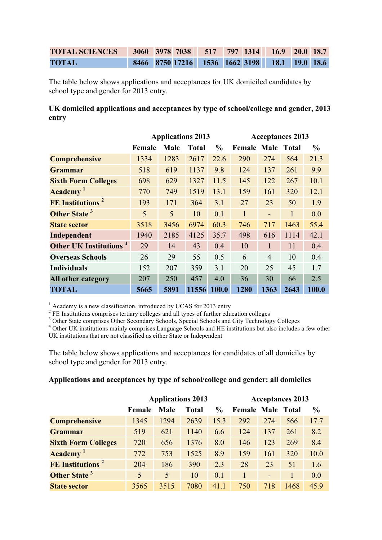| TOTAL SCIENCES 3060 3978 7038 517 797 1314 16.9 20.0 18.7 |  |  |  |                                               |  |
|-----------------------------------------------------------|--|--|--|-----------------------------------------------|--|
| <b>TOTAL</b>                                              |  |  |  | 8466 8750 17216 1536 1662 3198 18.1 19.0 18.6 |  |

The table below shows applications and acceptances for UK domiciled candidates by school type and gender for 2013 entry.

#### **UK domiciled applications and acceptances by type of school/college and gender, 2013 entry**

|                                          |        | <b>Applications 2013</b> |              |               | <b>Acceptances 2013</b>  |                |              |               |
|------------------------------------------|--------|--------------------------|--------------|---------------|--------------------------|----------------|--------------|---------------|
|                                          | Female | Male                     | <b>Total</b> | $\frac{6}{9}$ | <b>Female Male Total</b> |                |              | $\frac{0}{0}$ |
| <b>Comprehensive</b>                     | 1334   | 1283                     | 2617         | 22.6          | 290                      | 274            | 564          | 21.3          |
| <b>Grammar</b>                           | 518    | 619                      | 1137         | 9.8           | 124                      | 137            | 261          | 9.9           |
| <b>Sixth Form Colleges</b>               | 698    | 629                      | 1327         | 11.5          | 145                      | 122            | 267          | 10.1          |
| Academy <sup>1</sup>                     | 770    | 749                      | 1519         | 13.1          | 159                      | 161            | 320          | 12.1          |
| FE Institutions <sup>2</sup>             | 193    | 171                      | 364          | 3.1           | 27                       | 23             | 50           | 1.9           |
| Other State <sup>3</sup>                 | 5      | 5                        | 10           | 0.1           | $\mathbf{1}$             |                | $\mathbf{1}$ | 0.0           |
| <b>State sector</b>                      | 3518   | 3456                     | 6974         | 60.3          | 746                      | 717            | 1463         | 55.4          |
| Independent                              | 1940   | 2185                     | 4125         | 35.7          | 498                      | 616            | 1114         | 42.1          |
| <b>Other UK Institutions<sup>4</sup></b> | 29     | 14                       | 43           | 0.4           | 10                       |                | 11           | 0.4           |
| <b>Overseas Schools</b>                  | 26     | 29                       | 55           | 0.5           | 6                        | $\overline{4}$ | 10           | 0.4           |
| <b>Individuals</b>                       | 152    | 207                      | 359          | 3.1           | 20                       | 25             | 45           | 1.7           |
| All other category                       | 207    | 250                      | 457          | 4.0           | 36                       | 30             | 66           | 2.5           |
| <b>TOTAL</b>                             | 5665   | 5891                     | 11556        | 100.0         | 1280                     | 1363           | 2643         | 100.0         |

 $1$  Academy is a new classification, introduced by UCAS for 2013 entry

 $2$  FE Institutions comprises tertiary colleges and all types of further education colleges

<sup>3</sup> Other State comprises Other Secondary Schools, Special Schools and City Technology Colleges

<sup>4</sup> Other UK institutions mainly comprises Language Schools and HE institutions but also includes a few other UK institutions that are not classified as either State or Independent

The table below shows applications and acceptances for candidates of all domiciles by school type and gender for 2013 entry.

#### **Applications and acceptances by type of school/college and gender: all domiciles**

|                              |        |      | <b>Applications 2013</b> | <b>Acceptances 2013</b> |                          |     |      |               |
|------------------------------|--------|------|--------------------------|-------------------------|--------------------------|-----|------|---------------|
|                              | Female | Male | Total                    | $\frac{6}{9}$           | <b>Female Male Total</b> |     |      | $\frac{0}{0}$ |
| <b>Comprehensive</b>         | 1345   | 1294 | 2639                     | 15.3                    | 292                      | 274 | 566  | 17.7          |
| Grammar                      | 519    | 621  | 1140                     | 6.6                     | 124                      | 137 | 261  | 8.2           |
| <b>Sixth Form Colleges</b>   | 720    | 656  | 1376                     | 8.0                     | 146                      | 123 | 269  | 8.4           |
| Academy <sup>1</sup>         | 772    | 753  | 1525                     | 8.9                     | 159                      | 161 | 320  | 10.0          |
| FE Institutions <sup>2</sup> | 204    | 186  | 390                      | 2.3                     | 28                       | 23  | 51   | 1.6           |
| Other State <sup>3</sup>     | 5      | 5    | 10                       | 0.1                     |                          | ٠   |      | 0.0           |
| <b>State sector</b>          | 3565   | 3515 | 7080                     | 41.1                    | 750                      | 718 | 1468 | 45.9          |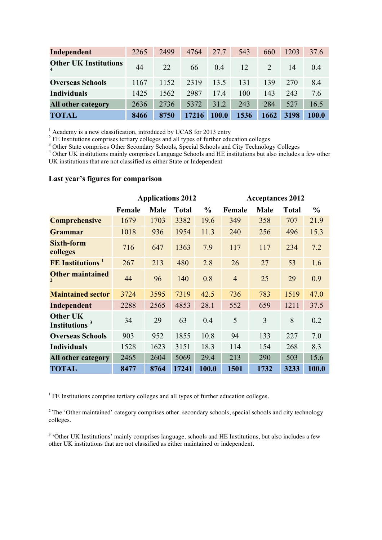| Independent                                      | 2265 | 2499 | 4764  | 27.7         | 543  | 660     | 1203 | 37.6   |
|--------------------------------------------------|------|------|-------|--------------|------|---------|------|--------|
| <b>Other UK Institutions</b><br>$\boldsymbol{4}$ | 44   | 22   | 66    | 04           | 12   | $2^{1}$ | 14   | (0, 4) |
| <b>Overseas Schools</b>                          | 1167 | 1152 | 2319  | 13.5         | 131  | 139     | 270  | 8.4    |
| <b>Individuals</b>                               | 1425 | 1562 | 2987  | 174          | 100  | 143     | 243  | 7.6    |
| <b>All other category</b>                        | 2636 | 2736 | 5372  | 31.2         | 243  | 284     | 527  | 16.5   |
| <b>TOTAL</b>                                     | 8466 | 8750 | 17216 | <b>100.0</b> | 1536 | 1662    | 3198 | 100.0  |

 $1$  Academy is a new classification, introduced by UCAS for 2013 entry

 $2$  FE Institutions comprises tertiary colleges and all types of further education colleges

<sup>3</sup> Other State comprises Other Secondary Schools, Special Schools and City Technology Colleges

<sup>4</sup> Other UK institutions mainly comprises Language Schools and HE institutions but also includes a few other UK institutions that are not classified as either State or Independent

#### **Last year's figures for comparison**

|                                              |        | <b>Applications 2012</b> |              |               | <b>Acceptances 2012</b> |             |              |               |
|----------------------------------------------|--------|--------------------------|--------------|---------------|-------------------------|-------------|--------------|---------------|
|                                              | Female | <b>Male</b>              | <b>Total</b> | $\frac{0}{0}$ | Female                  | <b>Male</b> | <b>Total</b> | $\frac{0}{0}$ |
| <b>Comprehensive</b>                         | 1679   | 1703                     | 3382         | 19.6          | 349                     | 358         | 707          | 21.9          |
| <b>Grammar</b>                               | 1018   | 936                      | 1954         | 11.3          | 240                     | 256         | 496          | 15.3          |
| <b>Sixth-form</b><br>colleges                | 716    | 647                      | 1363         | 7.9           | 117                     | 117         | 234          | 7.2           |
| <b>FE</b> Institutions <sup>1</sup>          | 267    | 213                      | 480          | 2.8           | 26                      | 27          | 53           | 1.6           |
| <b>Other maintained</b><br>$\overline{2}$    | 44     | 96                       | 140          | 0.8           | $\overline{4}$          | 25          | 29           | 0.9           |
| <b>Maintained sector</b>                     | 3724   | 3595                     | 7319         | 42.5          | 736                     | 783         | 1519         | 47.0          |
| Independent                                  | 2288   | 2565                     | 4853         | 28.1          | 552                     | 659         | 1211         | 37.5          |
| <b>Other UK</b><br>Institutions <sup>3</sup> | 34     | 29                       | 63           | 0.4           | 5                       | 3           | 8            | 0.2           |
| <b>Overseas Schools</b>                      | 903    | 952                      | 1855         | 10.8          | 94                      | 133         | 227          | 7.0           |
| <b>Individuals</b>                           | 1528   | 1623                     | 3151         | 18.3          | 114                     | 154         | 268          | 8.3           |
| All other category                           | 2465   | 2604                     | 5069         | 29.4          | 213                     | 290         | 503          | 15.6          |
| <b>TOTAL</b>                                 | 8477   | 8764                     | 17241        | 100.0         | 1501                    | 1732        | 3233         | 100.0         |

<sup>1</sup> FE Institutions comprise tertiary colleges and all types of further education colleges.

<sup>2</sup> The 'Other maintained' category comprises other, secondary schools, special schools and city technology colleges.

<sup>3</sup> 'Other UK Institutions' mainly comprises language. schools and HE Institutions, but also includes a few other UK institutions that are not classified as either maintained or independent.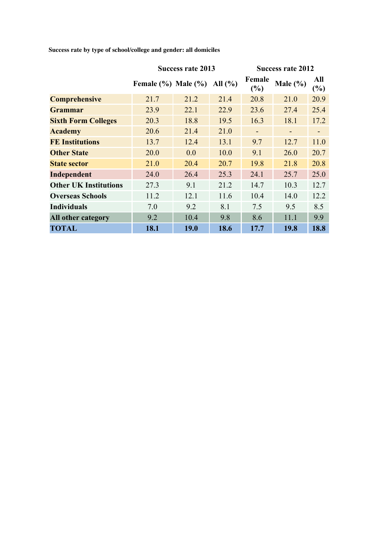|                              |                           | <b>Success rate 2013</b> |             | <b>Success rate 2012</b> |              |                              |  |
|------------------------------|---------------------------|--------------------------|-------------|--------------------------|--------------|------------------------------|--|
|                              | Female $(\%$ ) Male $(\%$ |                          | All $(\% )$ | Female<br>$(\%)$         | Male $(\% )$ | All<br>$(\%)$                |  |
| <b>Comprehensive</b>         | 21.7                      | 21.2                     | 21.4        | 20.8                     | 21.0         | 20.9                         |  |
| <b>Grammar</b>               | 23.9                      | 22.1                     | 22.9        | 23.6                     | 27.4         | 25.4                         |  |
| <b>Sixth Form Colleges</b>   | 20.3                      | 18.8                     | 19.5        | 16.3                     | 18.1         | 17.2                         |  |
| <b>Academy</b>               | 20.6                      | 21.4                     | 21.0        |                          |              | $\qquad \qquad \blacksquare$ |  |
| <b>FE Institutions</b>       | 13.7                      | 12.4                     | 13.1        | 9.7                      | 12.7         | 11.0                         |  |
| <b>Other State</b>           | 20.0                      | 0.0                      | 10.0        | 9.1                      | 26.0         | 20.7                         |  |
| <b>State sector</b>          | 21.0                      | 20.4                     | 20.7        | 19.8                     | 21.8         | 20.8                         |  |
| Independent                  | 24.0                      | 26.4                     | 25.3        | 24.1                     | 25.7         | 25.0                         |  |
| <b>Other UK Institutions</b> | 27.3                      | 9.1                      | 21.2        | 14.7                     | 10.3         | 12.7                         |  |
| <b>Overseas Schools</b>      | 11.2                      | 12.1                     | 11.6        | 10.4                     | 14.0         | 12.2                         |  |
| <b>Individuals</b>           | 7.0                       | 9.2                      | 8.1         | 7.5                      | 9.5          | 8.5                          |  |
| All other category           | 9.2                       | 10.4                     | 9.8         | 8.6                      | 11.1         | 9.9                          |  |
| <b>TOTAL</b>                 | 18.1                      | 19.0                     | 18.6        | 17.7                     | 19.8         | 18.8                         |  |

**Success rate by type of school/college and gender: all domiciles**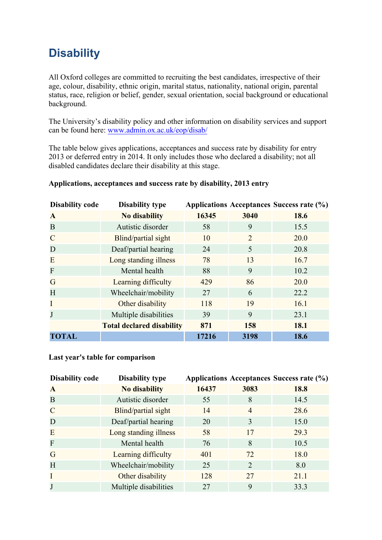# **Disability**

All Oxford colleges are committed to recruiting the best candidates, irrespective of their age, colour, disability, ethnic origin, marital status, nationality, national origin, parental status, race, religion or belief, gender, sexual orientation, social background or educational background.

The University's disability policy and other information on disability services and support can be found here: www.admin.ox.ac.uk/eop/disab/

The table below gives applications, acceptances and success rate by disability for entry 2013 or deferred entry in 2014. It only includes those who declared a disability; not all disabled candidates declare their disability at this stage.

| <b>Disability code</b> | <b>Disability type</b>           |       |                | Applications Acceptances Success rate (%) |
|------------------------|----------------------------------|-------|----------------|-------------------------------------------|
| $\mathbf{A}$           | <b>No disability</b>             | 16345 | 3040           | 18.6                                      |
| B                      | Autistic disorder                | 58    | 9              | 15.5                                      |
| $\overline{C}$         | Blind/partial sight              | 10    | $\overline{2}$ | 20.0                                      |
| D                      | Deaf/partial hearing             | 24    | 5              | 20.8                                      |
| E                      | Long standing illness            | 78    | 13             | 16.7                                      |
| $\mathbf F$            | Mental health                    | 88    | 9              | 10.2                                      |
| G                      | Learning difficulty              | 429   | 86             | 20.0                                      |
| H                      | Wheelchair/mobility              | 27    | 6              | 22.2                                      |
| I                      | Other disability                 | 118   | 19             | 16.1                                      |
| J                      | Multiple disabilities            | 39    | 9              | 23.1                                      |
|                        | <b>Total declared disability</b> | 871   | 158            | 18.1                                      |
| <b>TOTAL</b>           |                                  | 17216 | 3198           | 18.6                                      |

#### **Applications, acceptances and success rate by disability, 2013 entry**

#### **Last year's table for comparison**

| <b>Disability code</b> | <b>Disability type</b> |       |                       | Applications Acceptances Success rate (%) |
|------------------------|------------------------|-------|-----------------------|-------------------------------------------|
| A                      | <b>No disability</b>   | 16437 | 3083                  | 18.8                                      |
| B                      | Autistic disorder      | 55    | 8                     | 14.5                                      |
| $\mathsf{C}$           | Blind/partial sight    | 14    | $\overline{4}$        | 28.6                                      |
| D                      | Deaf/partial hearing   | 20    | 3                     | 15.0                                      |
| E                      | Long standing illness  | 58    | 17                    | 29.3                                      |
| $\mathbf{F}$           | Mental health          | 76    | 8                     | 10.5                                      |
| G                      | Learning difficulty    | 401   | 72                    | 18.0                                      |
| H                      | Wheelchair/mobility    | 25    | $\mathcal{D}_{\cdot}$ | 8.0                                       |
|                        | Other disability       | 128   | 27                    | 21.1                                      |
|                        | Multiple disabilities  | 27    | 9                     | 33.3                                      |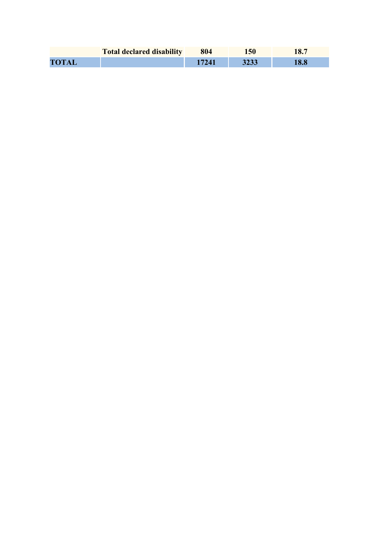|              | <b>Total declared disability</b> | 804 | 150  |  |
|--------------|----------------------------------|-----|------|--|
| <b>TOTAL</b> |                                  |     | 3233 |  |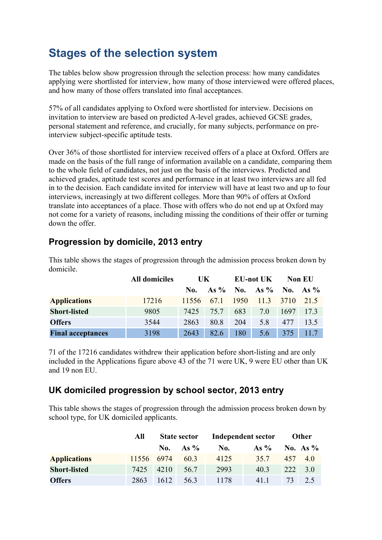## **Stages of the selection system**

The tables below show progression through the selection process: how many candidates applying were shortlisted for interview, how many of those interviewed were offered places, and how many of those offers translated into final acceptances.

57% of all candidates applying to Oxford were shortlisted for interview. Decisions on invitation to interview are based on predicted A-level grades, achieved GCSE grades, personal statement and reference, and crucially, for many subjects, performance on preinterview subject-specific aptitude tests.

Over 36% of those shortlisted for interview received offers of a place at Oxford. Offers are made on the basis of the full range of information available on a candidate, comparing them to the whole field of candidates, not just on the basis of the interviews. Predicted and achieved grades, aptitude test scores and performance in at least two interviews are all fed in to the decision. Each candidate invited for interview will have at least two and up to four interviews, increasingly at two different colleges. More than 90% of offers at Oxford translate into acceptances of a place. Those with offers who do not end up at Oxford may not come for a variety of reasons, including missing the conditions of their offer or turning down the offer.

## **Progression by domicile, 2013 entry**

|                          | <b>All domiciles</b> | UK.   |      | <b>EU-not UK</b> |                        | <b>Non EU</b> |      |
|--------------------------|----------------------|-------|------|------------------|------------------------|---------------|------|
|                          |                      | No.   |      |                  | As % No. As % No. As % |               |      |
| <b>Applications</b>      | 17216                | 11556 | 67.1 | 1950             | 11.3 3710              |               | 21.5 |
| <b>Short-listed</b>      | 9805                 | 7425  | 757  | 683              | 70                     | 1697          | 17.3 |
| <b>Offers</b>            | 3544                 | 2863  | 80.8 | 204              | 5.8                    | 477           | 13.5 |
| <b>Final acceptances</b> | 3198                 | 2643  | 82.6 | 180              | 5.6                    | 375           | 117  |

This table shows the stages of progression through the admission process broken down by domicile.

71 of the 17216 candidates withdrew their application before short-listing and are only included in the Applications figure above 43 of the 71 were UK, 9 were EU other than UK and 19 non EU.

## **UK domiciled progression by school sector, 2013 entry**

This table shows the stages of progression through the admission process broken down by school type, for UK domiciled applicants.

|                     | All        | <b>State sector</b> |             | Independent sector |         | <b>Other</b> |            |
|---------------------|------------|---------------------|-------------|--------------------|---------|--------------|------------|
|                     |            |                     | No. As $\%$ | No.                | As $\%$ |              | No. As $%$ |
| <b>Applications</b> | 11556 6974 |                     | 60.3        | 4125               | 35.7    |              | 457 4.0    |
| <b>Short-listed</b> | 7425       | 4210                | 56.7        | 2993               | 40 3    | 222          | 3.0        |
| <b>Offers</b>       | 2863       | 1612                | 56.3        | 1178               | 411     | 73 L         | 2.5        |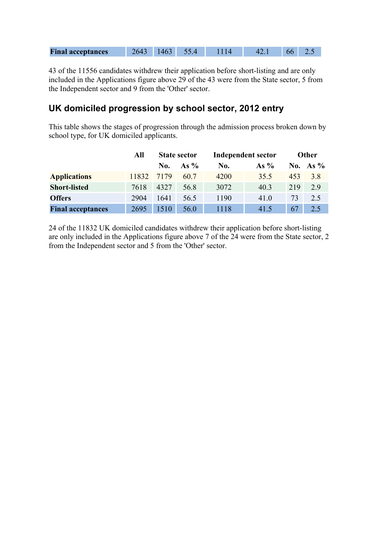| <b>Final acceptances</b> |  |  |  |  |  |  |  |
|--------------------------|--|--|--|--|--|--|--|
|--------------------------|--|--|--|--|--|--|--|

43 of the 11556 candidates withdrew their application before short-listing and are only included in the Applications figure above 29 of the 43 were from the State sector, 5 from the Independent sector and 9 from the 'Other' sector.

### **UK domiciled progression by school sector, 2012 entry**

This table shows the stages of progression through the admission process broken down by school type, for UK domiciled applicants.

|                          | All   |      | <b>Independent sector</b><br><b>State sector</b> |      |        |     | Other      |  |
|--------------------------|-------|------|--------------------------------------------------|------|--------|-----|------------|--|
|                          |       | No.  | As $\%$                                          | No.  | As $%$ |     | No. As $%$ |  |
| <b>Applications</b>      | 11832 | 7179 | 60.7                                             | 4200 | 35.5   | 453 | 38         |  |
| <b>Short-listed</b>      | 7618  | 4327 | 56.8                                             | 3072 | 40.3   | 219 | 2.9        |  |
| <b>Offers</b>            | 2904  | 1641 | 56.5                                             | 1190 | 41.0   | 73  | 2.5        |  |
| <b>Final acceptances</b> | 2695  | 1510 | 56.0                                             | 1118 | 41.5   | 67  | 2.5        |  |

24 of the 11832 UK domiciled candidates withdrew their application before short-listing are only included in the Applications figure above 7 of the 24 were from the State sector, 2 from the Independent sector and 5 from the 'Other' sector.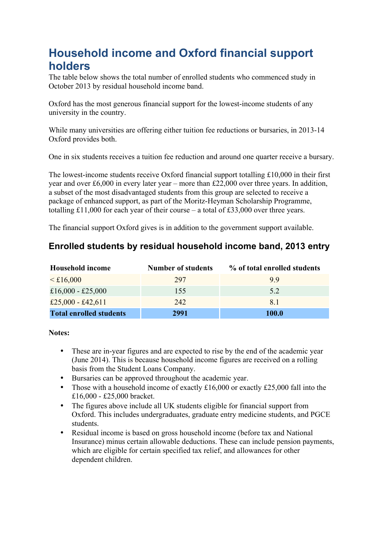## **Household income and Oxford financial support holders**

The table below shows the total number of enrolled students who commenced study in October 2013 by residual household income band.

Oxford has the most generous financial support for the lowest-income students of any university in the country.

While many universities are offering either tuition fee reductions or bursaries, in 2013-14 Oxford provides both.

One in six students receives a tuition fee reduction and around one quarter receive a bursary.

The lowest-income students receive Oxford financial support totalling £10,000 in their first year and over £6,000 in every later year – more than £22,000 over three years. In addition, a subset of the most disadvantaged students from this group are selected to receive a package of enhanced support, as part of the Moritz-Heyman Scholarship Programme, totalling £11,000 for each year of their course – a total of £33,000 over three years.

The financial support Oxford gives is in addition to the government support available.

## **Enrolled students by residual household income band, 2013 entry**

| <b>Household income</b>        | <b>Number of students</b> | % of total enrolled students |
|--------------------------------|---------------------------|------------------------------|
| $\leq$ £16,000                 | 297                       | 99                           |
| £16,000 - £25,000              | 155                       | 52                           |
| £25,000 - £42,611              | 242                       | 81                           |
| <b>Total enrolled students</b> | 2991                      | 100.0                        |

**Notes:**

- These are in-year figures and are expected to rise by the end of the academic year (June 2014). This is because household income figures are received on a rolling basis from the Student Loans Company.
- Bursaries can be approved throughout the academic year.
- Those with a household income of exactly  $£16,000$  or exactly  $£25,000$  fall into the £16,000 - £25,000 bracket.
- The figures above include all UK students eligible for financial support from Oxford. This includes undergraduates, graduate entry medicine students, and PGCE students.
- Residual income is based on gross household income (before tax and National Insurance) minus certain allowable deductions. These can include pension payments, which are eligible for certain specified tax relief, and allowances for other dependent children.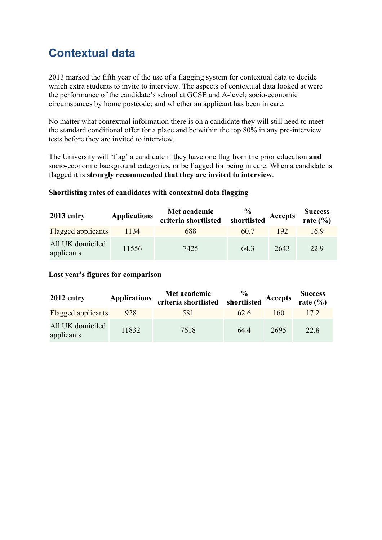## **Contextual data**

2013 marked the fifth year of the use of a flagging system for contextual data to decide which extra students to invite to interview. The aspects of contextual data looked at were the performance of the candidate's school at GCSE and A-level; socio-economic circumstances by home postcode; and whether an applicant has been in care.

No matter what contextual information there is on a candidate they will still need to meet the standard conditional offer for a place and be within the top 80% in any pre-interview tests before they are invited to interview.

The University will 'flag' a candidate if they have one flag from the prior education **and** socio-economic background categories, or be flagged for being in care. When a candidate is flagged it is **strongly recommended that they are invited to interview**.

#### **Shortlisting rates of candidates with contextual data flagging**

| $2013$ entry                   | <b>Applications</b> | Met academic<br>criteria shortlisted | $\frac{6}{9}$<br>shortlisted | Accepts | <b>Success</b><br>rate $(\% )$ |
|--------------------------------|---------------------|--------------------------------------|------------------------------|---------|--------------------------------|
| <b>Flagged applicants</b>      | 1134                | 688                                  | 60.7                         | 192     | 169                            |
| All UK domiciled<br>applicants | 11556               | 7425                                 | 64.3                         | 2643    | 22.9                           |

#### **Last year's figures for comparison**

| 2012 entry                     | <b>Applications</b> | Met academic<br>criteria shortlisted | $\frac{0}{0}$<br>shortlisted | Accepts | <b>Success</b><br>rate $(\% )$ |
|--------------------------------|---------------------|--------------------------------------|------------------------------|---------|--------------------------------|
| <b>Flagged applicants</b>      | 928                 | 581                                  | 626                          | 160     | 172                            |
| All UK domiciled<br>applicants | 11832               | 7618                                 | 64.4                         | 2695    | 22.8                           |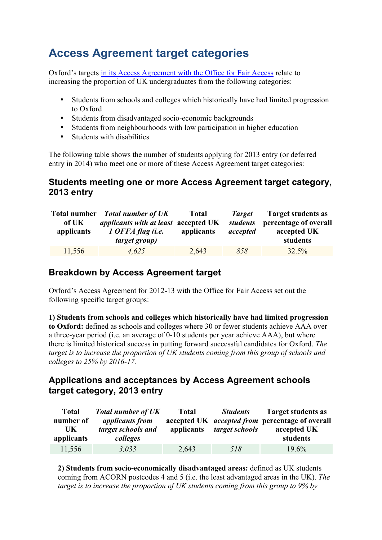# **Access Agreement target categories**

Oxford's targets in its Access Agreement with the Office for Fair Access relate to increasing the proportion of UK undergraduates from the following categories:

- Students from schools and colleges which historically have had limited progression to Oxford
- Students from disadvantaged socio-economic backgrounds
- Students from neighbourhoods with low participation in higher education
- Students with disabilities

The following table shows the number of students applying for 2013 entry (or deferred entry in 2014) who meet one or more of these Access Agreement target categories:

## **Students meeting one or more Access Agreement target category, 2013 entry**

| of UK<br>applicants | Total number Total number of UK<br><i>applicants with at least accepted UK</i><br>1 OFFA flag (i.e.<br><i>target group</i> ) | <b>Total</b><br>applicants | Target<br><i>students</i><br>accepted | <b>Target students as</b><br>percentage of overall<br>accepted UK<br>students |
|---------------------|------------------------------------------------------------------------------------------------------------------------------|----------------------------|---------------------------------------|-------------------------------------------------------------------------------|
|                     |                                                                                                                              |                            |                                       |                                                                               |
| 11,556              | 4.625                                                                                                                        | 2,643                      | 858                                   | 32.5%                                                                         |

## **Breakdown by Access Agreement target**

Oxford's Access Agreement for 2012-13 with the Office for Fair Access set out the following specific target groups:

**1) Students from schools and colleges which historically have had limited progression to Oxford:** defined as schools and colleges where 30 or fewer students achieve AAA over a three-year period (i.e. an average of 0-10 students per year achieve AAA), but where there is limited historical success in putting forward successful candidates for Oxford. *The target is to increase the proportion of UK students coming from this group of schools and colleges to 25% by 2016-17.*

## **Applications and acceptances by Access Agreement schools target category, 2013 entry**

| <b>Total</b><br>number of<br>UK.<br>applicants | <b>Total number of UK</b><br><i>applicants from</i><br>target schools and<br>colleges | <b>Total</b><br>applicants | <b>Students</b><br>target schools | <b>Target students as</b><br>accepted UK <i>accepted from</i> percentage of overall<br>accepted UK<br>students |
|------------------------------------------------|---------------------------------------------------------------------------------------|----------------------------|-----------------------------------|----------------------------------------------------------------------------------------------------------------|
| 11,556                                         | 3,033                                                                                 | 2,643                      | 518                               | $19.6\%$                                                                                                       |

**2) Students from socio-economically disadvantaged areas:** defined as UK students coming from ACORN postcodes 4 and 5 (i.e. the least advantaged areas in the UK). *The target is to increase the proportion of UK students coming from this group to 9% by*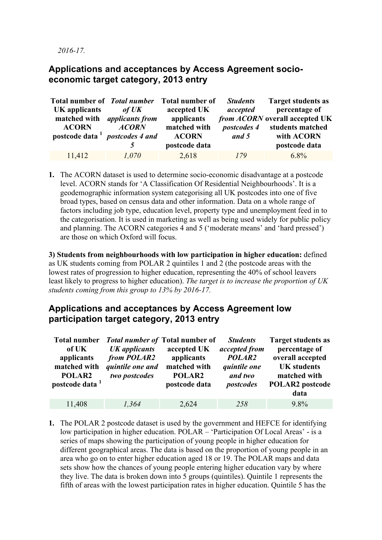*2016-17.*

### **Applications and acceptances by Access Agreement socioeconomic target category, 2013 entry**

|                                            |                                     | Total number of <i>Total number</i> Total number of | <b>Students</b>    | <b>Target students as</b>      |
|--------------------------------------------|-------------------------------------|-----------------------------------------------------|--------------------|--------------------------------|
| UK applicants                              | of UK                               | accepted UK                                         | accepted           | percentage of                  |
|                                            | matched with <i>applicants from</i> | applicants                                          |                    | from ACORN overall accepted UK |
| <b>ACORN</b>                               | <b>ACORN</b>                        | matched with                                        | <i>postcodes 4</i> | students matched               |
| postcode data <sup>1</sup> postcodes 4 and |                                     | <b>ACORN</b>                                        | and 5              | with ACORN                     |
|                                            |                                     | postcode data                                       |                    | postcode data                  |
| 11,412                                     | 1,070                               | 2,618                                               | 179                | $6.8\%$                        |

**1.** The ACORN dataset is used to determine socio-economic disadvantage at a postcode level. ACORN stands for 'A Classification Of Residential Neighbourhoods'. It is a geodemographic information system categorising all UK postcodes into one of five broad types, based on census data and other information. Data on a whole range of factors including job type, education level, property type and unemployment feed in to the categorisation. It is used in marketing as well as being used widely for public policy and planning. The ACORN categories 4 and 5 ('moderate means' and 'hard pressed') are those on which Oxford will focus.

**3) Students from neighbourhoods with low participation in higher education:** defined as UK students coming from POLAR 2 quintiles 1 and 2 (the postcode areas with the lowest rates of progression to higher education, representing the 40% of school leavers least likely to progress to higher education). *The target is to increase the proportion of UK students coming from this group to 13% by 2016-17.*

### **Applications and acceptances by Access Agreement low participation target category, 2013 entry**

| <b>Total number</b><br>of UK<br>applicants<br>matched with<br>POLAR2<br>postcode data <sup>1</sup> | <b>UK</b> applicants<br>from POLAR2<br>quintile one and<br>two postcodes | <b>Total number of Total number of</b><br>accepted UK<br>applicants<br>matched with<br>POLAR2<br>postcode data | <b>Students</b><br>accepted from<br>POLAR <sub>2</sub><br><i>quintile one</i><br>and two<br>postcodes | <b>Target students as</b><br>percentage of<br>overall accepted<br><b>UK</b> students<br>matched with<br><b>POLAR2</b> postcode<br>data |
|----------------------------------------------------------------------------------------------------|--------------------------------------------------------------------------|----------------------------------------------------------------------------------------------------------------|-------------------------------------------------------------------------------------------------------|----------------------------------------------------------------------------------------------------------------------------------------|
| 11,408                                                                                             | 1.364                                                                    | 2,624                                                                                                          | 258                                                                                                   | $9.8\%$                                                                                                                                |

**1.** The POLAR 2 postcode dataset is used by the government and HEFCE for identifying low participation in higher education. POLAR – 'Participation Of Local Areas' - is a series of maps showing the participation of young people in higher education for different geographical areas. The data is based on the proportion of young people in an area who go on to enter higher education aged 18 or 19. The POLAR maps and data sets show how the chances of young people entering higher education vary by where they live. The data is broken down into 5 groups (quintiles). Quintile 1 represents the fifth of areas with the lowest participation rates in higher education. Quintile 5 has the